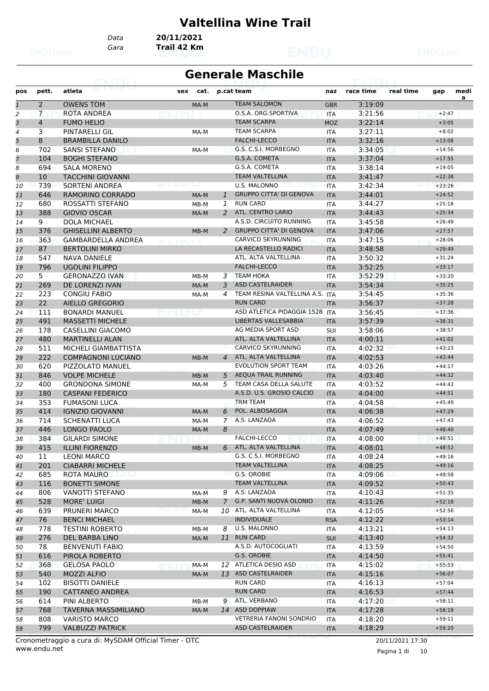#### **Valtellina Wine Trail**

*Data* **20/11/2021**

*Gara* **Trail 42 Km**

#### **Generale Maschile**

| pos          | pett.          | atleta                          | sex<br>cat.    |                | p.cat team                      | naz        | race time | real time | gap      | medi |
|--------------|----------------|---------------------------------|----------------|----------------|---------------------------------|------------|-----------|-----------|----------|------|
|              |                |                                 |                |                |                                 |            |           |           |          | a    |
| $\mathbf{1}$ | $\overline{2}$ | <b>OWENS TOM</b>                | MA-M           |                | <b>TEAM SALOMON</b>             | <b>GBR</b> | 3:19:09   |           |          |      |
| 2            | $\overline{7}$ | ROTA ANDREA                     |                |                | O.S.A. ORG.SPORTIVA             | <b>ITA</b> | 3:21:56   |           | $+2:47$  |      |
| 3            | $\overline{4}$ | <b>FUMO HELIO</b>               |                |                | <b>TEAM SCARPA</b>              | <b>MOZ</b> | 3:22:14   |           | $+3:05$  |      |
| 4            | 3              | PINTARELLI GIL                  | MA-M           |                | <b>TEAM SCARPA</b>              | <b>ITA</b> | 3:27:11   |           | $+8:02$  |      |
| 5            | 8              | <b>BRAMBILLA DANILO</b>         |                |                | <b>FALCHI-LECCO</b>             | <b>ITA</b> | 3:32:16   |           | $+13:08$ |      |
| 6            | 702            | <b>SANSI STEFANO</b>            | MA-M           |                | G.S. C.S.I. MORBEGNO            | <b>ITA</b> | 3:34:05   |           | $+14:56$ |      |
| 7            | 104            | <b>BOGHI STEFANO</b>            |                |                | G.S.A. COMETA                   | <b>ITA</b> | 3:37:04   |           | $+17:55$ |      |
| 8            | 694            | <b>SALA MORENO</b>              |                |                | G.S.A. COMETA                   | <b>ITA</b> | 3:38:14   |           | $+19:05$ |      |
| 9            | 10             | <b>TACCHINI GIOVANNI</b>        |                |                | <b>TEAM VALTELLINA</b>          | <b>ITA</b> | 3:41:47   |           | $+22:38$ |      |
| 10           | 739            | SORTENI ANDREA                  | <b>Seattle</b> |                | <b>U.S. MALONNO</b>             | <b>ITA</b> | 3:42:34   |           | $+23:26$ |      |
| 11           | 646            | RAMORINO CORRADO                | MA-M           | $\mathbf{1}$   | <b>GRUPPO CITTA' DI GENOVA</b>  | <b>ITA</b> | 3:44:01   |           | $+24:52$ |      |
| 12           | 680            | ROSSATTI STEFANO                | MB-M           | 1              | <b>RUN CARD</b>                 | <b>ITA</b> | 3:44:27   |           | $+25:18$ |      |
| 13           | 388            | <b>GIOVIO OSCAR</b>             | MA-M           | 2              | ATL. CENTRO LARIO               | <b>ITA</b> | 3:44:43   |           | $+25:34$ |      |
| 14           | 9              | <b>DOLA MICHAEL</b>             |                |                | A.S.D. CIRCUITO RUNNING         | <b>ITA</b> | 3:45:58   |           | $+26:49$ |      |
| 15           | 376            | <b>GHISELLINI ALBERTO</b>       | MB-M           | 2              | <b>GRUPPO CITTA' DI GENOVA</b>  | <b>ITA</b> | 3:47:06   |           | $+27:57$ |      |
| 16           | 363            | <b>GAMBARDELLA ANDREA</b>       |                |                | CARVICO SKYRUNNING              | <b>ITA</b> | 3:47:15   |           | $+28:06$ |      |
| 17           | 87             | <b>BERTOLINI MIRKO</b>          |                |                | LA RECASTELLO RADICI            | <b>ITA</b> | 3:48:58   |           | $+29:49$ |      |
| 18           | 547            | <b>NAVA DANIELE</b>             |                |                | ATL. ALTA VALTELLINA            | <b>ITA</b> | 3:50:32   |           | $+31:24$ |      |
| 19           | 796            | <b>UGOLINI FILIPPO</b>          |                |                | <b>FALCHI-LECCO</b>             | <b>ITA</b> | 3:52:25   |           | $+33:17$ |      |
| 20           | 5.             | <b>GERONAZZO IVAN</b>           | MB-M           | 3              | <b>TEAM HOKA</b>                | <b>ITA</b> | 3:52:29   |           | $+33:20$ |      |
| 21           | 269            | DE LORENZI IVAN                 | MA-M           | 3              | <b>ASD CASTELRAIDER</b>         | <b>ITA</b> | 3:54:34   |           | $+35:25$ |      |
| 22           | 223            | <b>CONGIU FABIO</b>             | MA-M           | $\overline{a}$ | TEAM RESINA VALTELLINA A.S. ITA |            | 3:54:45   |           | $+35:36$ |      |
| 23           | 22             | AIELLO GREGORIO                 |                |                | <b>RUN CARD</b>                 | <b>ITA</b> | 3:56:37   |           | $+37:28$ |      |
| 24           | 111            | <b>BONARDI MANUEL</b>           |                |                | ASD ATLETICA PIDAGGIA 1528 ITA  |            | 3:56:45   |           | $+37:36$ |      |
| 25           | 491            | <b>MASSETTI MICHELE</b>         |                |                | <b>LIBERTAS VALLESABBIA</b>     | <b>ITA</b> | 3:57:39   |           | $+38:31$ |      |
| 26           | 178            | CASELLINI GIACOMO               |                |                | AG MEDIA SPORT ASD              | SUI        | 3:58:06   |           | $+38:57$ |      |
| 27           | 480            | <b>MARTINELLI ALAN</b>          |                |                | ATL. ALTA VALTELLINA            | <b>ITA</b> | 4:00:11   |           | $+41:02$ |      |
| 28           | 511            | MICHELI GIAMBATTISTA            |                |                | <b>CARVICO SKYRUNNING</b>       | <b>ITA</b> | 4:02:32   |           | $+43:23$ |      |
| 29           | 222            | <b>COMPAGNONI LUCIANO</b>       | $MB-M$         | $\overline{4}$ | ATL. ALTA VALTELLINA            | <b>ITA</b> | 4:02:53   |           | $+43:44$ |      |
| 30           | 620            | PIZZOLATO MANUEL                |                |                | <b>EVOLUTION SPORT TEAM</b>     | <b>ITA</b> | 4:03:26   |           | $+44:17$ |      |
| 31           | 846            | <b>VOLPE MICHELE</b>            | MB-M           | 5              | <b>AEQUA TRAIL RUNNING</b>      | <b>ITA</b> | 4:03:40   |           | $+44:32$ |      |
| 32           | 400            | <b>GRONDONA SIMONE</b>          | MA-M           | 5              | TEAM CASA DELLA SALUTE          | <b>ITA</b> | 4:03:52   |           | $+44:43$ |      |
| 33           | 180            | <b>CASPANI FEDERICO</b>         |                |                | A.S.D. U.S. GROSIO CALCIO       | <b>ITA</b> | 4:04:00   |           | $+44:51$ |      |
| 34           | 353            | <b>FUMASONI LUCA</b>            |                |                | <b>TRM TEAM</b>                 | <b>ITA</b> | 4:04:58   |           | $+45:49$ |      |
| 35           | 414            | <b>IGNIZIO GIOVANNI</b>         | MA-M           | 6              | POL. ALBOSAGGIA                 | <b>ITA</b> | 4:06:38   |           | $+47:29$ |      |
| 36           | 714            | <b>SCHENATTI LUCA</b>           | MA-M           | 7              | A.S. LANZADA                    | ITA        | 4:06:52   |           | $+47:43$ |      |
| 37           | 446            | <b>LONGO PAOLO</b>              | MA-M           | 8              |                                 | <b>ITA</b> | 4:07:49   |           | $+48:40$ |      |
| 38           | 384            | <b>GILARDI SIMONE</b>           |                |                | <b>FALCHI-LECCO</b>             | <b>ITA</b> | 4:08:00   |           | $+48:51$ |      |
| 39           | 415            | <b>ILLINI FIORENZO</b>          | MB-M           |                | 6 ATL. ALTA VALTELLINA          | <b>ITA</b> | 4:08:01   |           | $+48:52$ |      |
| 40           | 11             | <b>LEONI MARCO</b>              |                |                | G.S. C.S.I. MORBEGNO            | ITA        | 4:08:24   |           | $+49:16$ |      |
| 41           | 201            | <b>CIABARRI MICHELE</b>         |                |                | <b>TEAM VALTELLINA</b>          | <b>ITA</b> | 4:08:25   |           | $+49:16$ |      |
| 42           | 685            | ROTA MAURO<br><u> Maria Ale</u> |                |                | G.S. OROBIE                     | ITA        | 4:09:06   |           | $+49:58$ |      |
| 43           | 116            | <b>BONETTI SIMONE</b>           |                |                | <b>TEAM VALTELLINA</b>          | <b>ITA</b> | 4:09:52   |           | $+50:43$ |      |
| 44           | 806            | <b>VANOTTI STEFANO</b>          | MA-M           | 9              | A.S. LANZADA                    | ITA        | 4:10:43   |           | $+51:35$ |      |
| 45           | 528            | <b>MORE' LUIGI</b>              | $MB-M$         | $\mathcal{I}$  | G.P. SANTI NUOVA OLONIO         | <b>ITA</b> | 4:11:26   |           | $+52:18$ |      |
| 46           | 639            | PRUNERI MARCO                   | MA-M           |                | 10 ATL. ALTA VALTELLINA         | <b>ITA</b> | 4:12:05   |           | $+52:56$ |      |
| 47           | 76             | <b>BENCI MICHAEL</b>            |                |                | <b>INDIVIDUALE</b>              | <b>RSA</b> | 4:12:22   |           | $+53:14$ |      |
| 48           | 778            | <b>TESTINI ROBERTO</b>          | MB-M           | 8              | U.S. MALONNO                    | ITA        | 4:13:21   |           | $+54:13$ |      |
| 49           | 276            | <b>DEL BARBA LINO</b>           | MA-M           |                | 11 RUN CARD                     | <b>SUI</b> | 4:13:40   |           | $+54:32$ |      |
| 50           | 78             | <b>BENVENUTI FABIO</b>          |                |                | A.S.D. AUTOCOGLIATI             | ITA        | 4:13:59   |           | $+54:50$ |      |
| 51           | 616            | PIROLA ROBERTO                  |                |                | G.S. OROBIE                     | <b>ITA</b> | 4:14:50   |           | $+55:41$ |      |
| 52           | 368            | GELOSA PAOLO                    | MA-M           |                | 12 ATLETICA DESIO ASD           | <b>ITA</b> | 4:15:02   |           | $+55:53$ |      |
| 53           | 540            | <b>MOZZI ALFIO</b>              | MA-M           |                | 13 ASD CASTELRAIDER             | <b>ITA</b> | 4:15:16   |           | $+56:07$ |      |
| 54           | 102            | <b>BISOTTI DANIELE</b>          |                |                | <b>RUN CARD</b>                 | ITA        | 4:16:13   |           | $+57:04$ |      |
| 55           | 190            | CATTANEO ANDREA                 |                |                | <b>RUN CARD</b>                 | <b>ITA</b> | 4:16:53   |           | $+57:44$ |      |
| 56           | 614            | PINI ALBERTO                    | MB-M           | 9              | ATL. VERBANO                    | ITA        | 4:17:20   |           | $+58:11$ |      |
| 57           | 768            | TAVERNA MASSIMILIANO            | MA-M           |                | 14 ASD DOPPIAW                  | <b>ITA</b> | 4:17:28   |           | $+58:19$ |      |
| 58           | 808            | <b>VARISTO MARCO</b>            |                |                | <b>VETRERIA FANONI SONDRIO</b>  | ITA        | 4:18:20   |           | $+59:11$ |      |
| 59           | 799            | <b>VALBUZZI PATRICK</b>         |                |                | ASD CASTELRAIDER                | <b>ITA</b> | 4:18:29   |           | $+59:20$ |      |

www.endu.net Cronometraggio a cura di: MySDAM Official Timer - OTC 20/11/2021 17:30

Pagina 1 di 10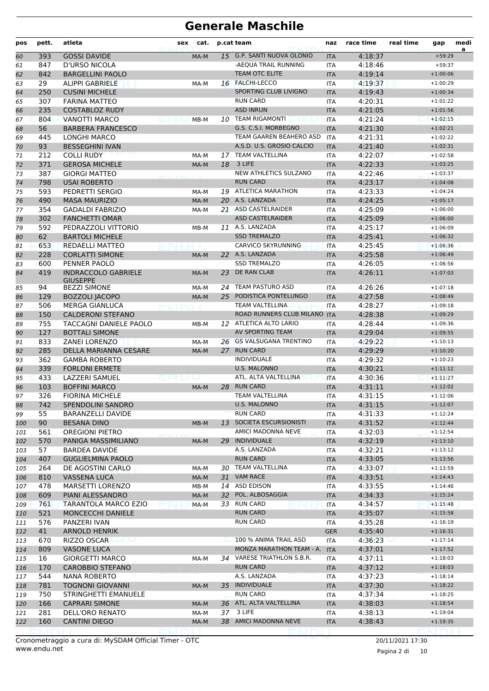| pos | pett. | atleta                                        | sex | cat.   |                 | p.cat team                   | naz        | race time | real time | gap        | medi<br>a |
|-----|-------|-----------------------------------------------|-----|--------|-----------------|------------------------------|------------|-----------|-----------|------------|-----------|
| 60  | 393   | <b>GOSSI DAVIDE</b>                           |     | MA-M   | 15 <sub>1</sub> | G.P. SANTI NUOVA OLONIO      | <b>ITA</b> | 4:18:37   |           | $+59:29$   |           |
| 61  | 847   | <b>D'URSO NICOLA</b>                          |     |        |                 | -AEQUA TRAIL RUNNING         | <b>ITA</b> | 4:18:46   |           | $+59:37$   |           |
| 62  | 842   | <b>BARGELLINI PAOLO</b>                       |     |        |                 | <b>TEAM OTC ELITE</b>        | <b>ITA</b> | 4:19:14   |           | $+1:00:06$ |           |
| 63  | 29    | <b>ALIPPI GABRIELE</b>                        |     | MA-M   |                 | 16 FALCHI-LECCO              | <b>ITA</b> | 4:19:37   |           | $+1:00:29$ |           |
| 64  | 250   | <b>CUSINI MICHELE</b>                         |     |        |                 | SPORTING CLUB LIVIGNO        | <b>ITA</b> | 4:19:43   |           | $+1:00:34$ |           |
| 65  | 307   | <b>FARINA MATTEO</b>                          |     |        |                 | <b>RUN CARD</b>              | <b>ITA</b> | 4:20:31   |           | $+1:01:22$ |           |
| 66  | 235   | <b>COSTABLOZ RUDY</b>                         |     |        |                 | <b>ASD INRUN</b>             | <b>ITA</b> | 4:21:05   |           | $+1:01:56$ |           |
| 67  | 804   | <b>VANOTTI MARCO</b>                          |     | $MB-M$ |                 | 10 TEAM RIGAMONTI            | <b>ITA</b> | 4:21:24   |           | $+1:02:15$ |           |
| 68  | 56    | <b>BARBERA FRANCESCO</b>                      |     |        |                 | G.S. C.S.I. MORBEGNO         | <b>ITA</b> | 4:21:30   |           | $+1:02:21$ |           |
| 69  | 445   | <b>LONGHI MARCO</b>                           |     |        |                 | TEAM GAAREN BEAHERO ASD      | <b>ITA</b> | 4:21:31   |           | $+1:02:22$ |           |
| 70  | 93    | <b>BESSEGHINI IVAN</b>                        |     |        |                 | A.S.D. U.S. GROSIO CALCIO    | <b>ITA</b> | 4:21:40   |           | $+1:02:31$ |           |
| 71  | 212   | <b>COLLI RUDY</b>                             |     | MA-M   |                 | 17 TEAM VALTELLINA           | <b>ITA</b> | 4:22:07   |           | $+1:02:58$ |           |
| 72  | 371   | <b>GEROSA MICHELE</b>                         |     | MA-M   | 18              | 3 LIFE                       | <b>ITA</b> | 4:22:33   |           | $+1:03:25$ |           |
| 73  | 387   | <b>GIORGI MATTEO</b>                          |     |        |                 | NEW ATHLETICS SULZANO        | <b>ITA</b> | 4:22:46   |           | $+1:03:37$ |           |
| 74  | 798   | <b>USAI ROBERTO</b>                           |     |        |                 | <b>RUN CARD</b>              | <b>ITA</b> | 4:23:17   |           | $+1:04:08$ |           |
| 75  | 593   | PEDRETTI SERGIO                               |     | MA-M   |                 | 19 ATLETICA MARATHON         | <b>ITA</b> | 4:23:33   |           | $+1:04:24$ |           |
| 76  | 490   | <b>MASA MAURIZIO</b>                          |     | MA-M   |                 | 20 A.S. LANZADA              | <b>ITA</b> | 4:24:25   |           | $+1:05:17$ |           |
| 77  | 354   | <b>GADALDI FABRIZIO</b>                       |     | MA-M   |                 | 21 ASD CASTELRAIDER          | <b>ITA</b> | 4:25:09   |           | $+1:06:00$ |           |
| 78  | 302   | <b>FANCHETTI OMAR</b>                         |     |        |                 | <b>ASD CASTELRAIDER</b>      | <b>ITA</b> | 4:25:09   |           | $+1:06:00$ |           |
| 79  | 592   | PEDRAZZOLI VITTORIO                           |     | MB-M   |                 | 11 A.S. LANZADA              | <b>ITA</b> | 4:25:17   |           | $+1:06:09$ |           |
| 80  | 62    | <b>BARTOLI MICHELE</b>                        |     |        |                 | <b>SSD TREMALZO</b>          | <b>ITA</b> | 4:25:41   |           | $+1:06:32$ |           |
| 81  | 653   | REDAELLI MATTEO                               |     |        |                 | CARVICO SKYRUNNING           | <b>ITA</b> | 4:25:45   |           | $+1:06:36$ |           |
| 82  | 228   | <b>CORLATTI SIMONE</b>                        |     | MA-M   |                 | 22 A.S. LANZADA              | <b>ITA</b> | 4:25:58   |           | $+1:06:49$ |           |
| 83  | 600   | PENNER PAOLO                                  |     |        |                 | <b>SSD TREMALZO</b>          | <b>ITA</b> | 4:26:05   |           | $+1:06:56$ |           |
| 84  | 419   | <b>INDRACCOLO GABRIELE</b><br><b>GIUSEPPE</b> |     | MA-M   | 23              | DE RAN CLAB                  | <b>ITA</b> | 4:26:11   |           | $+1:07:03$ |           |
| 85  | 94    | <b>BEZZI SIMONE</b>                           |     | MA-M   |                 | 24 TEAM PASTURO ASD          | <b>ITA</b> | 4:26:26   |           | $+1:07:18$ |           |
| 86  | 129   | <b>BOZZOLI JACOPO</b>                         |     | MA-M   |                 | 25 PODISTICA PONTELUNGO      | <b>ITA</b> | 4:27:58   |           | $+1:08:49$ |           |
| 87  | 506   | <b>MERGA GIANLUCA</b>                         |     |        |                 | <b>TEAM VALTELLINA</b>       | <b>ITA</b> | 4:28:27   |           | $+1:09:18$ |           |
| 88  | 150   | <b>CALDERONI STEFANO</b>                      |     |        |                 | ROAD RUNNERS CLUB MILANO ITA |            | 4:28:38   |           | $+1:09:29$ |           |
| 89  | 755   | TACCAGNI DANIELE PAOLO                        |     | MB-M   |                 | 12 ATLETICA ALTO LARIO       | <b>ITA</b> | 4:28:44   |           | $+1:09:36$ |           |
| 90  | 127   | <b>BOTTALI SIMONE</b>                         |     |        |                 | AV SPORTING TEAM             | <b>ITA</b> | 4:29:04   |           | $+1:09:55$ |           |
| 91  | 833   | <b>ZANEI LORENZO</b>                          |     | MA-M   |                 | 26 GS VALSUGANA TRENTINO     | <b>ITA</b> | 4:29:22   |           | $+1:10:13$ |           |
| 92  | 285   | DELLA MARIANNA CESARE                         |     | MA-M   | 27              | <b>RUN CARD</b>              | <b>ITA</b> | 4:29:29   |           | $+1:10:20$ |           |
| 93  | 362   | <b>GAMBA ROBERTO</b>                          |     |        |                 | <b>INDIVIDUALE</b>           | <b>ITA</b> | 4:29:32   |           | $+1:10:23$ |           |
| 94  | 339   | <b>FORLONI ERMETE</b>                         |     |        |                 | <b>U.S. MALONNO</b>          | <b>ITA</b> | 4:30:21   |           | $+1:11:12$ |           |
| 95  | 433   | LAZZERI SAMUEL                                |     |        |                 | ATL. ALTA VALTELLINA         | <b>ITA</b> | 4:30:36   |           | $+1:11:27$ |           |
| 96  | 103   | <b>BOFFINI MARCO</b>                          |     | MA-M   | 28              | <b>RUN CARD</b>              | <b>ITA</b> | 4:31:11   |           | $+1:12:02$ |           |
| 97  | 326   | <b>FIORINA MICHELE</b>                        |     |        |                 | TEAM VALTELLINA              | <b>ITA</b> | 4:31:15   |           | $+1:12:06$ |           |
| 98  | 742   | SPENDOLINI SANDRO                             |     |        |                 | <b>U.S. MALONNO</b>          | ITA.       | 4:31:15   |           | $+1:12:07$ |           |
| 99  | 55    | BARANZELLI DAVIDE                             |     |        |                 | <b>RUN CARD</b>              | ITA        | 4:31:33   |           | $+1:12:24$ |           |
| 100 | 90    | <b>BESANA DINO</b>                            |     | MB-M   | 13              | SOCIETA ESCURSIONISTI        | <b>ITA</b> | 4:31:52   |           | $+1:12:44$ |           |
| 101 | 561   | <b>OREGIONI PIETRO</b>                        |     |        |                 | AMICI MADONNA NEVE           | ITA        | 4:32:03   |           | $+1:12:54$ |           |
| 102 | 570   | PANIGA MASSIMILIANO                           |     | MA-M   | 29              | <b>INDIVIDUALE</b>           | <b>ITA</b> | 4:32:19   |           | $+1:13:10$ |           |
| 103 | 57    | <b>BARDEA DAVIDE</b>                          |     |        |                 | A.S. LANZADA                 | ITA        | 4:32:21   |           | $+1:13:12$ |           |
| 104 | 407   | <b>GUGLIELMINA PAOLO</b>                      |     |        |                 | <b>RUN CARD</b>              | <b>ITA</b> | 4:33:05   |           | $+1:13:56$ |           |
| 105 | 264   | DE AGOSTINI CARLO                             |     | MA-M   |                 | 30 TEAM VALTELLINA           | <b>ITA</b> | 4:33:07   |           | $+1:13:59$ |           |
| 106 | 810   | <b>VASSENA LUCA</b>                           |     | MA-M   |                 | 31 VAM RACE                  | <b>ITA</b> | 4:33:51   |           | $+1:14:43$ |           |
| 107 | 478   | <b>MARSETTI LORENZO</b>                       |     | MB-M   |                 | 14 ASD EDISON                | ITA        | 4:33:55   |           | $+1:14:46$ |           |
| 108 | 609   | PIANI ALESSANDRO                              |     | MA-M   | 32              | POL. ALBOSAGGIA              | <b>ITA</b> | 4:34:33   |           | $+1:15:24$ |           |
| 109 | 761   | TARANTOLA MARCO EZIO                          |     | MA-M   |                 | 33 RUN CARD                  | ITA        | 4:34:57   |           | $+1:15:48$ |           |
| 110 | 521   | MONCECCHI DANIELE                             |     |        |                 | <b>RUN CARD</b>              | <b>ITA</b> | 4:35:07   |           | $+1:15:58$ |           |
| 111 | 576   | PANZERI IVAN                                  |     |        |                 | <b>RUN CARD</b>              | ITA        | 4:35:28   |           | $+1:16:19$ |           |
| 112 | 41    | ARNOLD HENRIK                                 |     |        |                 |                              | <b>GER</b> | 4:35:40   |           | $+1:16:31$ |           |
| 113 | 670   | RIZZO OSCAR                                   |     |        |                 | 100 % ANIMA TRAIL ASD        | ITA        | 4:36:23   |           | $+1:17:14$ |           |
| 114 | 809   | <b>VASONE LUCA</b>                            |     |        |                 | MONZA MARATHON TEAM - A.     | <b>ITA</b> | 4:37:01   |           | $+1:17:52$ |           |
| 115 | 16    | <b>GIORGETTI MARCO</b>                        |     | MA-M   |                 | 34 VARESE TRIATHLON S.B.R.   | ITA        | 4:37:11   |           | $+1:18:03$ |           |
| 116 | 170   | <b>CAROBBIO STEFANO</b>                       |     |        |                 | <b>RUN CARD</b>              | <b>ITA</b> | 4:37:12   |           | $+1:18:03$ |           |
| 117 | 544   | NANA ROBERTO                                  |     |        |                 | A.S. LANZADA                 | <b>ITA</b> | 4:37:23   |           | $+1:18:14$ |           |
| 118 | 781   | <b>TOGNONI GIOVANNI</b>                       |     | MA-M   | 35              | <b>INDIVIDUALE</b>           | <b>ITA</b> | 4:37:30   |           | $+1:18:22$ |           |
| 119 | 750   | STRINGHETTI EMANUELE                          |     |        |                 | <b>RUN CARD</b>              | <b>ITA</b> | 4:37:34   |           | $+1:18:25$ |           |
| 120 | 166   | <b>CAPRARI SIMONE</b>                         |     | MA-M   |                 | 36 ATL. ALTA VALTELLINA      | <b>ITA</b> | 4:38:03   |           | $+1:18:54$ |           |
| 121 | 281   | DELL'ORO RENATO                               |     | MA-M   | 37              | 3 LIFE                       | ITA        | 4:38:13   |           | $+1:19:04$ |           |
| 122 | 160   | <b>CANTINI DIEGO</b>                          |     | MA-M   |                 | 38 AMICI MADONNA NEVE        | <b>ITA</b> | 4:38:43   |           | $+1:19:35$ |           |
|     |       |                                               |     |        |                 |                              |            |           |           |            |           |

Pagina 2 di 10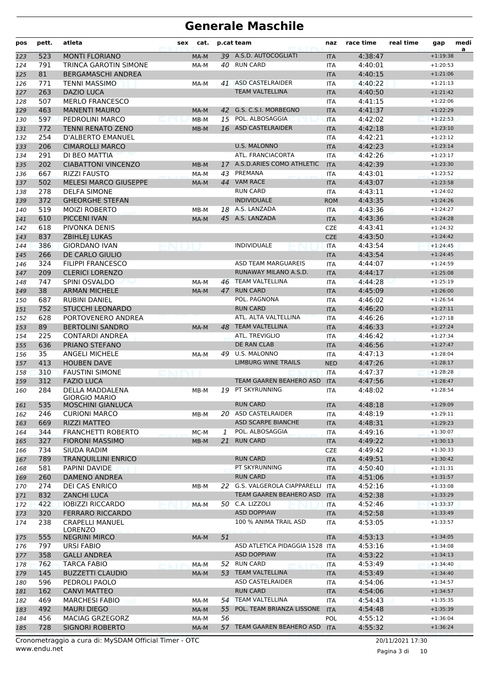| pos        | pett.     | atleta                                            | sex | cat.   |    | p.cat team                              | naz                      | race time          | real time | gap                      | medi<br>a |
|------------|-----------|---------------------------------------------------|-----|--------|----|-----------------------------------------|--------------------------|--------------------|-----------|--------------------------|-----------|
| 123        | 523       | <b>MONTI FLORIANO</b>                             |     | MA-M   |    | 39 A.S.D. AUTOCOGLIATI                  | <b>ITA</b>               | 4:38:47            |           | $+1:19:38$               |           |
| 124        | 791       | TRINCA GAROTIN SIMONE                             |     | MA-M   |    | 40 RUN CARD                             | <b>ITA</b>               | 4:40:01            |           | $+1:20:53$               |           |
| 125        | 81        | <b>BERGAMASCHI ANDREA</b>                         |     |        |    |                                         | <b>ITA</b>               | 4:40:15            |           | $+1:21:06$               |           |
| 126        | 771       | <b>TENNI MASSIMO</b>                              |     | MA-M   |    | 41 ASD CASTELRAIDER                     | <b>ITA</b>               | 4:40:22            |           | $+1:21:13$               |           |
| 127        | 263       | <b>DAZIO LUCA</b>                                 |     |        |    | <b>TEAM VALTELLINA</b>                  | <b>ITA</b>               | 4:40:50            |           | $+1:21:42$               |           |
| 128        | 507       | <b>MERLO FRANCESCO</b>                            |     |        |    |                                         | <b>ITA</b>               | 4:41:15            |           | $+1:22:06$               |           |
| 129        | 463       | <b>MANENTI MAURO</b>                              |     | MA-M   | 42 | G.S. C.S.I. MORBEGNO                    | <b>ITA</b>               | 4:41:37            |           | $+1:22:29$               |           |
| 130        | 597       | PEDROLINI MARCO                                   |     | $MB-M$ |    | 15 POL. ALBOSAGGIA                      | <b>ITA</b>               | 4:42:02            |           | $+1:22:53$               |           |
| 131        | 772       | <b>TENNI RENATO ZENO</b>                          |     | $MB-M$ |    | 16 ASD CASTELRAIDER                     | <b>ITA</b>               | 4:42:18            |           | $+1:23:10$               |           |
| 132        | 254       | <b>D'ALBERTO EMANUEL</b>                          |     |        |    |                                         | <b>ITA</b>               | 4:42:21            |           | $+1:23:12$               |           |
| 133        | 206       | <b>CIMAROLLI MARCO</b>                            |     |        |    | <b>U.S. MALONNO</b>                     | <b>ITA</b>               | 4:42:23            |           | $+1:23:14$               |           |
| 134        | 291       | DI BEO MATTIA                                     |     |        |    | ATL. FRANCIACORTA                       | <b>ITA</b>               | 4:42:26            |           | $+1:23:17$               |           |
| 135        | 202       | <b>CIABATTONI VINCENZO</b>                        |     | $MB-M$ | 17 | A.S.D.ARIES COMO ATHLETIC               | <b>ITA</b>               | 4:42:39            |           | $+1:23:30$               |           |
| 136        | 667       | <b>RIZZI FAUSTO</b>                               |     | MA-M   | 43 | PREMANA                                 | <b>ITA</b>               | 4:43:01            |           | $+1:23:52$               |           |
| 137        | 502       | <b>MELESI MARCO GIUSEPPE</b>                      |     | MA-M   |    | 44 VAM RACE                             | <b>ITA</b>               | 4:43:07            |           | $+1:23:58$               |           |
| 138        | 278       | <b>DELFA SIMONE</b>                               |     |        |    | <b>RUN CARD</b>                         | ITA                      | 4:43:11            |           | $+1:24:02$               |           |
| 139        | 372       | <b>GHEORGHE STEFAN</b>                            |     |        |    | <b>INDIVIDUALE</b>                      | <b>ROM</b>               | 4:43:35            |           | $+1:24:26$               |           |
| 140        | 519       | <b>MOIZI ROBERTO</b>                              |     | MB-M   |    | 18 A.S. LANZADA                         | <b>ITA</b>               | 4:43:36            |           | $+1:24:27$               |           |
| 141        | 610       | PICCENI IVAN                                      |     | MA-M   |    | 45 A.S. LANZADA                         | <b>ITA</b>               | 4:43:36            |           | $+1:24:28$               |           |
| 142        | 618       | PIVONKA DENIS                                     |     |        |    |                                         | <b>CZE</b>               | 4:43:41            |           | $+1:24:32$               |           |
| 143        | 837       | <b>ZBIHLEI LUKAS</b>                              |     |        |    |                                         | <b>CZE</b>               | 4:43:50            |           | $+1:24:42$               |           |
| 144        | 386       | <b>GIORDANO IVAN</b>                              |     |        |    | <b>INDIVIDUALE</b>                      | <b>ITA</b>               | 4:43:54            |           | $+1:24:45$               |           |
| 145        | 266       | DE CARLO GIULIO                                   |     |        |    |                                         | <b>ITA</b>               | 4:43:54            |           | $+1:24:45$               |           |
| 146        | 324       | <b>FILIPPI FRANCESCO</b>                          |     |        |    | <b>ASD TEAM MARGUAREIS</b>              | <b>ITA</b>               | 4:44:07            |           | $+1:24:59$               |           |
| 147        | 209       | <b>CLERICI LORENZO</b>                            |     |        |    | RUNAWAY MILANO A.S.D.                   | <b>ITA</b>               | 4:44:17            |           | $+1:25:08$               |           |
| 148        | 747       | SPINI OSVALDO                                     |     | MA-M   |    | 46 TEAM VALTELLINA                      | <b>ITA</b>               | 4:44:28            |           | $+1:25:19$               |           |
| 149        | 38        | <b>ARMAN MICHELE</b>                              |     | MA-M   | 47 | <b>RUN CARD</b>                         | <b>ITA</b>               | 4:45:09            |           | $+1:26:00$               |           |
| 150        | 687       | <b>RUBINI DANIEL</b>                              |     |        |    | POL. PAGNONA                            | ITA                      | 4:46:02            |           | $+1:26:54$               |           |
| 151        | 752       | <b>STUCCHI LEONARDO</b>                           |     |        |    | <b>RUN CARD</b><br>ATL. ALTA VALTELLINA | <b>ITA</b>               | 4:46:20            |           | $+1:27:11$               |           |
| 152        | 628       | PORTOVENERO ANDREA                                |     |        |    | <b>TEAM VALTELLINA</b>                  | <b>ITA</b>               | 4:46:26            |           | $+1:27:18$               |           |
| 153        | 89<br>225 | <b>BERTOLINI SANDRO</b><br><b>CONTARDI ANDREA</b> |     | MA-M   | 48 | ATL. TREVIGLIO                          | <b>ITA</b>               | 4:46:33<br>4:46:42 |           | $+1:27:24$<br>$+1:27:34$ |           |
| 154        | 636       | PRIANO STEFANO                                    |     |        |    | DE RAN CLAB                             | <b>ITA</b><br><b>ITA</b> | 4:46:56            |           | $+1:27:47$               |           |
| 155<br>156 | 35        | <b>ANGELI MICHELE</b>                             |     | MA-M   |    | 49 U.S. MALONNO                         | <b>ITA</b>               | 4:47:13            |           | $+1:28:04$               |           |
| 157        | 413       | <b>HOUBEN DAVE</b>                                |     |        |    | <b>LIMBURG WINE TRAILS</b>              | <b>NED</b>               | 4:47:26            |           | $+1:28:17$               |           |
| 158        | 310       | <b>FAUSTINI SIMONE</b>                            |     |        |    |                                         | <b>ITA</b>               | 4:47:37            |           | $+1:28:28$               |           |
| 159        | 312       | <b>FAZIO LUCA</b>                                 |     |        |    | TEAM GAAREN BEAHERO ASD                 | <b>ITA</b>               | 4:47:56            |           | $+1:28:47$               |           |
| 160        | 284       | DELLA MADDALENA                                   |     | MB-M   | 19 | PT SKYRUNNING                           | <b>ITA</b>               | 4:48:02            |           | $+1:28:54$               |           |
|            |           | <b>GIORGIO MARIO</b>                              |     |        |    |                                         |                          |                    |           |                          |           |
| 161        | 535       | MOSCHINI GIANLUCA                                 |     |        |    | <b>RUN CARD</b>                         | ITA                      | 4:48:18            |           | $+1:29:09$               |           |
| 162        | 246       | <b>CURIONI MARCO</b>                              |     | MB-M   |    | 20 ASD CASTELRAIDER                     | ITA                      | 4:48:19            |           | $+1:29:11$               |           |
| 163        | 669       | <b>RIZZI MATTEO</b>                               |     |        |    | <b>ASD SCARPE BIANCHE</b>               | <b>ITA</b>               | 4:48:31            |           | $+1:29:23$               |           |
| 164        | 344       | FRANCHETTI ROBERTO                                |     | MC-M   | 1  | POL. ALBOSAGGIA                         | <b>ITA</b>               | 4:49:16            |           | $+1:30:07$               |           |
| 165        | 327       | <b>FIORONI MASSIMO</b>                            |     | MB-M   | 21 | <b>RUN CARD</b>                         | <b>ITA</b>               | 4:49:22            |           | $+1:30:13$               |           |
| 166        | 734       | SIUDA RADIM                                       |     |        |    |                                         | <b>CZE</b>               | 4:49:42            |           | $+1:30:33$               |           |
| 167        | 789       | <b>TRANQUILLINI ENRICO</b>                        |     |        |    | <b>RUN CARD</b>                         | <b>ITA</b>               | 4:49:51            |           | $+1:30:42$               |           |
| 168        | 581       | PAPINI DAVIDE                                     |     |        |    | PT SKYRUNNING                           | <b>ITA</b>               | 4:50:40            |           | $+1:31:31$               |           |
| 169        | 260       | DAMENO ANDREA                                     |     |        |    | <b>RUN CARD</b>                         | <b>ITA</b>               | 4:51:06            |           | $+1:31:57$               |           |
| 170        | 274       | DEI CAS ENRICO                                    |     | MB-M   |    | 22 G.S. VALGEROLA CIAPPARELLI           | <b>ITA</b>               | 4:52:16            |           | $+1:33:08$               |           |
| 171        | 832       | <b>ZANCHI LUCA</b>                                |     |        |    | TEAM GAAREN BEAHERO ASD                 | <b>ITA</b>               | 4:52:38            |           | $+1:33:29$               |           |
| 172        | 422       | <b>IOBIZZI RICCARDO</b>                           |     | MA-M   |    | 50 C.A. LIZZOLI                         | ITA                      | 4:52:46            |           | $+1:33:37$               |           |
| 173        | 320       | <b>FERRARO RICCARDO</b>                           |     |        |    | <b>ASD DOPPIAW</b>                      | <b>ITA</b>               | 4:52:58            |           | $+1:33:49$               |           |
| 174        | 238       | <b>CRAPELLI MANUEL</b>                            |     |        |    | 100 % ANIMA TRAIL ASD                   | ITA                      | 4:53:05            |           | $+1:33:57$               |           |
| 175        | 555       | <b>LORENZO</b><br><b>NEGRINI MIRCO</b>            |     | MA-M   | 51 |                                         | <b>ITA</b>               | 4:53:13            |           | $+1:34:05$               |           |
| 176        | 797       | <b>URSI FABIO</b>                                 |     |        |    | ASD ATLETICA PIDAGGIA 1528 ITA          |                          | 4:53:16            |           | $+1:34:08$               |           |
| 177        | 358       | <b>GALLI ANDREA</b>                               |     |        |    | <b>ASD DOPPIAW</b>                      | <b>ITA</b>               | 4:53:22            |           | $+1:34:13$               |           |
| 178        | 762       | <b>TARCA FABIO</b>                                |     | MA-M   | 52 | <b>RUN CARD</b>                         | ITA                      | 4:53:49            |           | $+1:34:40$               |           |
| 179        | 145       | <b>BUZZETTI CLAUDIO</b>                           |     | MA-M   |    | 53 TEAM VALTELLINA                      | <b>ITA</b>               | 4:53:49            |           | $+1:34:40$               |           |
| 180        | 596       | PEDROLI PAOLO                                     |     |        |    | ASD CASTELRAIDER                        | ITA                      | 4:54:06            |           | $+1:34:57$               |           |
| 181        | 162       | <b>CANVI MATTEO</b>                               |     |        |    | <b>RUN CARD</b>                         | <b>ITA</b>               | 4:54:06            |           | $+1:34:57$               |           |
| 182        | 469       | <b>MARCHESI FABIO</b>                             |     | MA-M   |    | 54 TEAM VALTELLINA                      | ITA                      | 4:54:43            |           | $+1:35:35$               |           |
| 183        | 492       | <b>MAURI DIEGO</b>                                |     | MA-M   | 55 | POL. TEAM BRIANZA LISSONE               | <b>ITA</b>               | 4:54:48            |           | $+1:35:39$               |           |
| 184        | 456       | MACIAG GRZEGORZ                                   |     | MA-M   | 56 |                                         | POL                      | 4:55:12            |           | $+1:36:04$               |           |
| 185        | 728       | <b>SIGNORI ROBERTO</b>                            |     | MA-M   |    | 57 TEAM GAAREN BEAHERO ASD ITA          |                          | 4:55:32            |           | $+1:36:24$               |           |
|            |           |                                                   |     |        |    |                                         |                          |                    |           |                          |           |

www.endu.net Cronometraggio a cura di: MySDAM Official Timer - OTC 20/11/2021 17:30

Pagina 3 di 10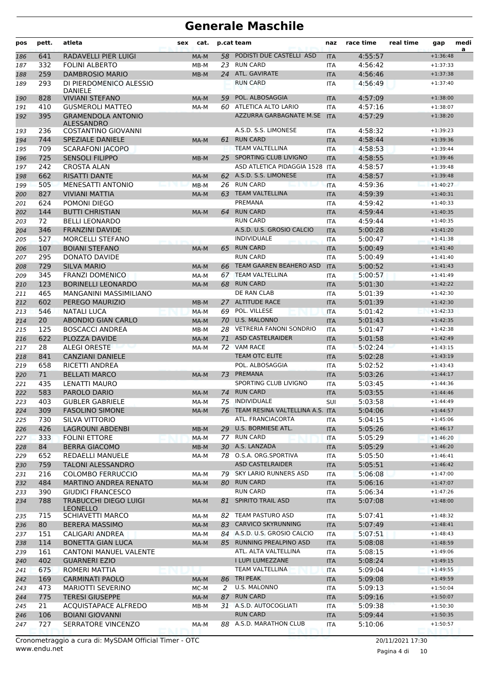| pos        | pett.      | atleta                                              | sex | cat.         |          | p.cat team                         | naz                      | race time          | real time | gap                      | medi<br>a |
|------------|------------|-----------------------------------------------------|-----|--------------|----------|------------------------------------|--------------------------|--------------------|-----------|--------------------------|-----------|
| 186        | 641        | RADAVELLI PIER LUIGI                                |     | MA-M         | 58       | PODISTI DUE CASTELLI ASD           | <b>ITA</b>               | 4:55:57            |           | $+1:36:48$               |           |
| 187        | 332        | <b>FOLINI ALBERTO</b>                               |     | 23<br>$MB-M$ |          | <b>RUN CARD</b>                    | <b>ITA</b>               | 4:56:42            |           | $+1:37:33$               |           |
| 188        | 259        | <b>DAMBROSIO MARIO</b>                              |     | MB-M         |          | 24 ATL. GAVIRATE                   | <b>ITA</b>               | 4:56:46            |           | $+1:37:38$               |           |
| 189        | 293        | DI PIERDOMENICO ALESSIO<br><b>DANIELE</b>           |     |              |          | <b>RUN CARD</b>                    | <b>ITA</b>               | 4:56:49            |           | $+1:37:40$               |           |
| 190        | 828        | <b>VIVIANI STEFANO</b>                              |     | 59<br>MA-M   |          | POL. ALBOSAGGIA                    | <b>ITA</b>               | 4:57:09            |           | $+1:38:00$               |           |
| 191        | 410        | <b>GUSMEROLI MATTEO</b>                             |     | MA-M         | 60       | ATLETICA ALTO LARIO                | <b>ITA</b>               | 4:57:16            |           | $+1:38:07$               |           |
| 192        | 395        | <b>GRAMENDOLA ANTONIO</b><br><b>ALESSANDRO</b>      |     |              |          | AZZURRA GARBAGNATE M.SE            | <b>ITA</b>               | 4:57:29            |           | $+1:38:20$               |           |
| 193        | 236        | <b>COSTANTINO GIOVANNI</b>                          |     |              |          | A.S.D. S.S. LIMONESE               | <b>ITA</b>               | 4:58:32            |           | $+1:39:23$               |           |
| 194        | 744        | <b>SPEZIALE DANIELE</b>                             |     | MA-M         | 61       | <b>RUN CARD</b>                    | <b>ITA</b>               | 4:58:44            |           | $+1:39:36$               |           |
| 195        | 709        | <b>SCARAFONI JACOPO</b>                             |     |              |          | <b>TEAM VALTELLINA</b>             | <b>ITA</b>               | 4:58:53            |           | $+1:39:44$               |           |
| 196        | 725        | <b>SENSOLI FILIPPO</b>                              |     | $MB-M$       | 25       | SPORTING CLUB LIVIGNO              | <b>ITA</b>               | 4:58:55            |           | $+1:39:46$               |           |
| 197        | 242        | <b>CROSTA ALAN</b>                                  |     |              |          | ASD ATLETICA PIDAGGIA 1528         | <b>ITA</b>               | 4:58:57            |           | $+1:39:48$               |           |
| 198        | 662        | <b>RISATTI DANTE</b>                                |     | MA-M         |          | 62 A.S.D. S.S. LIMONESE            | <b>ITA</b>               | 4:58:57            |           | $+1:39:48$               |           |
| 199        | 505        | MENESATTI ANTONIO                                   |     | MB-M         | 26.      | <b>RUN CARD</b>                    | <b>ITA</b>               | 4:59:36            |           | $+1:40:27$               |           |
| 200        | 827        | VIVIANI MATTIA                                      |     | MA-M         | 63       | <b>TEAM VALTELLINA</b>             | <b>ITA</b>               | 4:59:39            |           | $+1:40:31$               |           |
| 201        | 624        | POMONI DIEGO                                        |     |              |          | PREMANA                            | <b>ITA</b>               | 4:59:42            |           | $+1:40:33$               |           |
| 202        | 144        | <b>BUTTI CHRISTIAN</b>                              |     | MA-M         | 64       | <b>RUN CARD</b>                    | <b>ITA</b>               | 4:59:44            |           | $+1:40:35$               |           |
| 203        | 72         | <b>BELLI LEONARDO</b>                               |     |              |          | <b>RUN CARD</b>                    | <b>ITA</b>               | 4:59:44            |           | $+1:40:35$               |           |
| 204        | 346        | <b>FRANZINI DAVIDE</b>                              |     |              |          | A.S.D. U.S. GROSIO CALCIO          | <b>ITA</b>               | 5:00:28            |           | $+1:41:20$               |           |
| 205        | 527        | <b>MORCELLI STEFANO</b>                             |     |              |          | <b>INDIVIDUALE</b>                 | <b>ITA</b>               | 5:00:47            |           | $+1:41:38$               |           |
| 206        | 107        | <b>BOIANI STEFANO</b>                               |     | MA-M         | 65       | <b>RUN CARD</b><br><b>RUN CARD</b> | <b>ITA</b>               | 5:00:49            |           | $+1:41:40$               |           |
| 207        | 295<br>729 | DONATO DAVIDE<br><b>SILVA MARIO</b>                 |     |              |          | TEAM GAAREN BEAHERO ASD            | <b>ITA</b>               | 5:00:49            |           | $+1:41:40$               |           |
| 208        |            |                                                     |     | MA-M         | 66       | <b>TEAM VALTELLINA</b>             | <b>ITA</b>               | 5:00:52            |           | $+1:41:43$<br>$+1:41:49$ |           |
| 209        | 345<br>123 | <b>FRANZI DOMENICO</b><br><b>BORINELLI LEONARDO</b> |     | MA-M<br>MA-M | 67<br>68 | <b>RUN CARD</b>                    | <b>ITA</b><br><b>ITA</b> | 5:00:57<br>5:01:30 |           | $+1:42:22$               |           |
| 210        | 465        | MANGANINI MASSIMILIANO                              |     |              |          | DE RAN CLAB                        |                          | 5:01:39            |           | $+1:42:30$               |           |
| 211<br>212 | 602        | PEREGO MAURIZIO                                     |     | MB-M         | 27       | <b>ALTITUDE RACE</b>               | <b>ITA</b><br><b>ITA</b> | 5:01:39            |           | $+1:42:30$               |           |
| 213        | 546        | NATALI LUCA                                         |     | MA-M         | 69       | POL. VILLESE                       | <b>ITA</b>               | 5:01:42            |           | $+1:42:33$               |           |
| 214        | 20         | <b>ABONDIO GIAN CARLO</b>                           |     | MA-M         |          | 70 U.S. MALONNO                    | <b>ITA</b>               | 5:01:43            |           | $+1:42:35$               |           |
| 215        | 125        | <b>BOSCACCI ANDREA</b>                              |     | MB-M         | 28       | <b>VETRERIA FANONI SONDRIO</b>     | <b>ITA</b>               | 5:01:47            |           | $+1:42:38$               |           |
| 216        | 622        | <b>PLOZZA DAVIDE</b>                                |     | MA-M         | 71       | <b>ASD CASTELRAIDER</b>            | <b>ITA</b>               | 5:01:58            |           | $+1:42:49$               |           |
| 217        | 28         | <b>ALEGI ORESTE</b>                                 |     | MA-M         |          | 72 VAM RACE                        | <b>ITA</b>               | 5:02:24            |           | $+1:43:15$               |           |
| 218        | 841        | <b>CANZIANI DANIELE</b>                             |     |              |          | TEAM OTC ELITE                     | <b>ITA</b>               | 5:02:28            |           | $+1:43:19$               |           |
| 219        | 658        | RICETTI ANDREA                                      |     |              |          | POL. ALBOSAGGIA                    | <b>ITA</b>               | 5:02:52            |           | $+1:43:43$               |           |
| 220        | 71         | <b>BELLATI MARCO</b>                                |     | MA-M         | 73       | PREMANA                            | <b>ITA</b>               | 5:03:26            |           | $+1:44:17$               |           |
| 221        | 435        | LENATTI MAURO                                       |     |              |          | SPORTING CLUB LIVIGNO              | <b>ITA</b>               | 5:03:45            |           | $+1:44:36$               |           |
| 222        | 583        | PAROLO DARIO                                        |     | MA-M         | 74       | <b>RUN CARD</b>                    | <b>ITA</b>               | 5:03:55            |           | $+1:44:46$               |           |
| 223        | 403        | <b>GUBLER GABRIELE</b>                              |     | MA-M         | 75       | <b>INDIVIDUALE</b>                 | SUI                      | 5:03:58            |           | $+1:44:49$               |           |
| 224        | 309        | <b>FASOLINO SIMONE</b>                              |     | MA-M         |          | 76 TEAM RESINA VALTELLINA A.S. ITA |                          | 5:04:06            |           | $+1:44:57$               |           |
| 225        | 730        | SILVA VITTORIO                                      |     |              |          | ATL. FRANCIACORTA                  | ITA                      | 5:04:15            |           | $+1:45:06$               |           |
| 226        | 426        | <b>LAGROUNI ABDENBI</b>                             |     | $MB-M$       |          | 29 U.S. BORMIESE ATL.              | <b>ITA</b>               | 5:05:26            |           | $+1:46:17$               |           |
| 227        | 333        | <b>FOLINI ETTORE</b>                                |     | MA-M         |          | 77 RUN CARD                        | ITA                      | 5:05:29            |           | $+1:46:20$               |           |
| 228        | 84         | <b>BERRA GIACOMO</b>                                |     | $MB-M$       |          | 30 A.S. LANZADA                    | <b>ITA</b>               | 5:05:29            |           | $+1:46:20$               |           |
| 229        | 652        | REDAELLI MANUELE                                    |     | MA-M         |          | 78 O.S.A. ORG.SPORTIVA             | <b>ITA</b>               | 5:05:50            |           | $+1:46:41$               |           |
| 230        | 759        | <b>TALONI ALESSANDRO</b>                            |     |              |          | <b>ASD CASTELRAIDER</b>            | <b>ITA</b>               | 5:05:51            |           | $+1:46:42$               |           |
| 231        | 216        | <b>COLOMBO FERRUCCIO</b>                            |     | MA-M         |          | 79 SKY LARIO RUNNERS ASD           | ITA                      | 5:06:08            |           | $+1:47:00$               |           |
| 232        | 484        | MARTINO ANDREA RENATO                               |     | MA-M         |          | 80 RUN CARD                        | <b>ITA</b>               | 5:06:16            |           | $+1:47:07$               |           |
| 233        | 390        | <b>GIUDICI FRANCESCO</b>                            |     |              |          | <b>RUN CARD</b>                    | ITA                      | 5:06:34            |           | $+1:47:26$               |           |
| 234        | 788        | <b>TRABUCCHI DIEGO LUIGI</b><br><b>LEONELLO</b>     |     | MA-M         | 81       | SPIRITO TRAIL ASD                  | <b>ITA</b>               | 5:07:08            |           | $+1:48:00$               |           |
| 235        | 715        | <b>SCHIAVETTI MARCO</b>                             |     | MA-M         |          | 82 TEAM PASTURO ASD                | ITA                      | 5:07:41            |           | $+1:48:32$               |           |
| 236        | 80         | <b>BERERA MASSIMO</b>                               |     | MA-M         |          | 83 CARVICO SKYRUNNING              | <b>ITA</b>               | 5:07:49            |           | $+1:48:41$               |           |
| 237        | 151        | CALIGARI ANDREA                                     |     | MA-M         |          | 84 A.S.D. U.S. GROSIO CALCIO       | ITA                      | 5:07:51            |           | $+1:48:43$               |           |
| 238        | 114        | <b>BONETTA GIAN LUCA</b>                            |     | MA-M         |          | 85 RUNNING PREALPINO ASD           | <b>ITA</b>               | 5:08:08            |           | $+1:48:59$               |           |
| 239        | 161        | <b>CANTONI MANUEL VALENTE</b>                       |     |              |          | ATL. ALTA VALTELLINA               | ITA                      | 5:08:15            |           | $+1:49:06$               |           |
| 240        | 402        | <b>GUARNERI EZIO</b>                                |     |              |          | I LUPI LUMEZZANE                   | <b>ITA</b>               | 5:08:24            |           | $+1:49:15$               |           |
| 241        | 675        | ROMERI MATTIA                                       |     |              |          | TEAM VALTELLINA<br>TRI PEAK        | ITA                      | 5:09:04            |           | $+1:49:55$<br>$+1:49:59$ |           |
| 242        | 169<br>473 | <b>CARMINATI PAOLO</b><br>MARIOTTI SEVERINO         |     | MA-M         | 86<br>2  | U.S. MALONNO                       | <b>ITA</b><br><b>ITA</b> | 5:09:08<br>5:09:13 |           | $+1:50:04$               |           |
| 243<br>244 | 775        | <b>TERESI GIUSEPPE</b>                              |     | MC-M<br>MA-M |          | 87 RUN CARD                        | <b>ITA</b>               | 5:09:16            |           | $+1:50:07$               |           |
| 245        | 21         | ACQUISTAPACE ALFREDO                                |     | MB-M         |          | 31 A.S.D. AUTOCOGLIATI             | <b>ITA</b>               | 5:09:38            |           | $+1:50:30$               |           |
| 246        | 106        | <b>BOIANI GIOVANNI</b>                              |     |              |          | <b>RUN CARD</b>                    | <b>ITA</b>               | 5:09:44            |           | $+1:50:35$               |           |
| 247        | 727        | SERRATORE VINCENZO                                  |     | MA-M         |          | 88 A.S.D. MARATHON CLUB            | ITA                      | 5:10:06            |           | $+1:50:57$               |           |
|            |            |                                                     |     |              |          |                                    |                          |                    |           |                          |           |

Pagina 4 di 10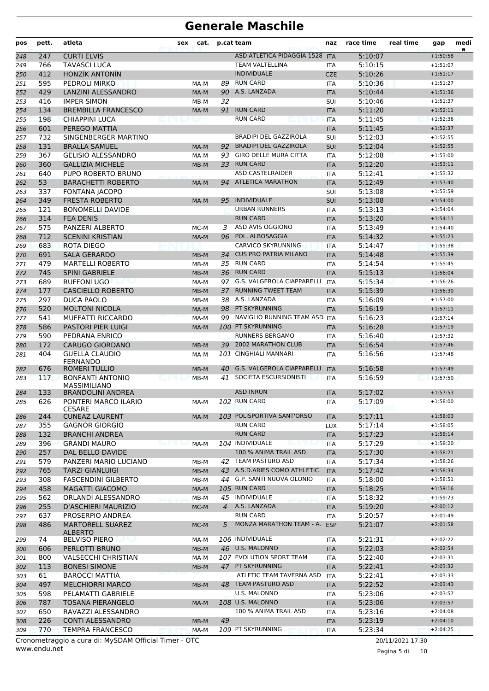| pos | pett. | atleta                                                | sex    | cat.   |    | p.cat team                        | naz        | race time | real time        | gap        | medi<br>a |
|-----|-------|-------------------------------------------------------|--------|--------|----|-----------------------------------|------------|-----------|------------------|------------|-----------|
| 248 | 247   | <b>CURTI ELVIS</b>                                    |        |        |    | ASD ATLETICA PIDAGGIA 1528        | <b>ITA</b> | 5:10:07   |                  | $+1:50:58$ |           |
| 249 | 766   | <b>TAVASCI LUCA</b>                                   |        |        |    | <b>TEAM VALTELLINA</b>            | <b>ITA</b> | 5:10:15   |                  | $+1:51:07$ |           |
| 250 | 412   | <b>HONZÍK ANTONÍN</b>                                 |        |        |    | <b>INDIVIDUALE</b>                | <b>CZE</b> | 5:10:26   |                  | $+1:51:17$ |           |
| 251 | 595   | PEDROLI MIRKO                                         |        | MA-M   | 89 | <b>RUN CARD</b>                   | <b>ITA</b> | 5:10:36   |                  | $+1:51:27$ |           |
| 252 | 429   | <b>LANZINI ALESSANDRO</b>                             |        | MA-M   | 90 | A.S. LANZADA                      | <b>ITA</b> | 5:10:44   |                  | $+1:51:36$ |           |
| 253 | 416   | <b>IMPER SIMON</b>                                    |        | MB-M   | 32 |                                   | SUI        | 5:10:46   |                  | $+1:51:37$ |           |
| 254 | 134   | <b>BREMBILLA FRANCESCO</b>                            |        | MA-M   | 91 | <b>RUN CARD</b>                   | <b>ITA</b> | 5:11:20   |                  | $+1:52:11$ |           |
| 255 | 198   | <b>CHIAPPINI LUCA</b>                                 |        |        |    | <b>RUN CARD</b>                   | <b>ITA</b> | 5:11:45   |                  | $+1:52:36$ |           |
| 256 | 601   | PEREGO MATTIA                                         |        |        |    |                                   | <b>ITA</b> | 5:11:45   |                  | $+1:52:37$ |           |
| 257 | 732   | SINGENBERGER MARTINO                                  |        |        |    | <b>BRADIPI DEL GAZZIROLA</b>      | SUI        | 5:12:03   |                  | $+1:52:55$ |           |
| 258 | 131   | <b>BRALLA SAMUEL</b>                                  |        | MA-M   | 92 | <b>BRADIPI DEL GAZZIROLA</b>      | SUI        | 5:12:04   |                  | $+1:52:55$ |           |
| 259 | 367   | <b>GELISIO ALESSANDRO</b>                             |        | MA-M   | 93 | <b>GIRO DELLE MURA CITTA</b>      | <b>ITA</b> | 5:12:08   |                  | $+1:53:00$ |           |
| 260 | 360   | <b>GALLIZIA MICHELE</b>                               |        | MB-M   | 33 | <b>RUN CARD</b>                   | <b>ITA</b> | 5:12:20   |                  | $+1:53:11$ |           |
| 261 | 640   | PUPO ROBERTO BRUNO                                    |        |        |    | <b>ASD CASTELRAIDER</b>           | ITA        | 5:12:41   |                  | $+1:53:32$ |           |
| 262 | 53    | <b>BARACHETTI ROBERTO</b>                             |        | MA-M   | 94 | <b>ATLETICA MARATHON</b>          | <b>ITA</b> | 5:12:49   |                  | $+1:53:40$ |           |
| 263 | 337   | FONTANA JACOPO                                        |        |        |    |                                   | SUI        | 5:13:08   |                  | $+1:53:59$ |           |
| 264 | 349   | <b>FRESTA ROBERTO</b>                                 |        | MA-M   | 95 | <b>INDIVIDUALE</b>                | SUI        | 5:13:08   |                  | $+1:54:00$ |           |
| 265 | 121   | <b>BONOMELLI DAVIDE</b>                               |        |        |    | <b>URBAN RUNNERS</b>              | <b>ITA</b> | 5:13:13   |                  | $+1:54:04$ |           |
| 266 | 314   | <b>FEA DENIS</b>                                      |        |        |    | <b>RUN CARD</b>                   | <b>ITA</b> | 5:13:20   |                  | $+1:54:11$ |           |
| 267 | 575   | PANZERI ALBERTO                                       |        | MC-M   | 3  | ASD AVIS OGGIONO                  | <b>ITA</b> | 5:13:49   |                  | $+1:54:40$ |           |
| 268 | 712   | <b>SCENINI KRISTIAN</b>                               |        | MA-M   |    | 96 POL. ALBOSAGGIA                | <b>ITA</b> | 5:14:32   |                  | $+1:55:23$ |           |
| 269 | 683   | <b>ROTA DIEGO</b>                                     |        |        |    | <b>CARVICO SKYRUNNING</b>         | <b>ITA</b> | 5:14:47   |                  | $+1:55:38$ |           |
| 270 | 691   | <b>SALA GERARDO</b>                                   |        | MB-M   | 34 | <b>CUS PRO PATRIA MILANO</b>      | <b>ITA</b> | 5:14:48   |                  | $+1:55:39$ |           |
| 271 | 479   | <b>MARTELLI ROBERTO</b>                               |        | $MB-M$ | 35 | <b>RUN CARD</b>                   | <b>ITA</b> | 5:14:54   |                  | $+1:55:45$ |           |
| 272 | 745   | <b>SPINI GABRIELE</b>                                 |        | MB-M   | 36 | <b>RUN CARD</b>                   | <b>ITA</b> | 5:15:13   |                  | $+1:56:04$ |           |
| 273 | 689   | <b>RUFFONI UGO</b><br>مساوي                           |        | MA-M   |    | 97 G.S. VALGEROLA CIAPPARELLI     | <b>ITA</b> | 5:15:34   |                  | $+1:56:26$ |           |
| 274 | 177   | <b>CASCIELLO ROBERTO</b>                              |        | $MB-M$ |    | 37 RUNNING TWEET TEAM             | <b>ITA</b> | 5:15:39   |                  | $+1:56:30$ |           |
| 275 | 297   | <b>DUCA PAOLO</b>                                     |        | $MB-M$ |    | 38 A.S. LANZADA                   | <b>ITA</b> | 5:16:09   |                  | $+1:57:00$ |           |
| 276 | 520   | <b>MOLTONI NICOLA</b>                                 |        | MA-M   | 98 | PT SKYRUNNING                     | <b>ITA</b> | 5:16:19   |                  | $+1:57:11$ |           |
| 277 | 541   | <b>MUFFATTI RICCARDO</b>                              |        | MA-M   | 99 | NAVIGLIO RUNNING TEAM ASD         | <b>ITA</b> | 5:16:23   |                  | $+1:57:14$ |           |
| 278 | 586   | PASTORI PIER LUIGI                                    |        | MA-M   |    | 100 PT SKYRUNNING                 | <b>ITA</b> | 5:16:28   |                  | $+1:57:19$ |           |
| 279 | 590   | PEDRANA ENRICO                                        |        |        |    | <b>RUNNERS BERGAMO</b>            | ITA        | 5:16:40   |                  | $+1:57:32$ |           |
| 280 | 172   | <b>CARUGO GIORDANO</b>                                |        | $MB-M$ |    | 39 2002 MARATHON CLUB             | <b>ITA</b> | 5:16:54   |                  | $+1:57:46$ |           |
| 281 | 404   | <b>GUELLA CLAUDIO</b><br><b>FERNANDO</b>              |        | MA-M   |    | 101 CINGHIALI MANNARI             | <b>ITA</b> | 5:16:56   |                  | $+1:57:48$ |           |
| 282 | 676   | <b>ROMERI TULLIO</b>                                  |        | $MB-M$ | 40 | <b>G.S. VALGEROLA CIAPPARELLI</b> | <b>ITA</b> | 5:16:58   |                  | $+1:57:49$ |           |
| 283 | 117   | <b>BONFANTI ANTONIO</b><br><b>MASSIMILIANO</b>        | IST VI | $MB-M$ | 41 | SOCIETA ESCURSIONISTI             | <b>ITA</b> | 5:16:59   |                  | $+1:57:50$ |           |
| 284 | 133   | <b>BRANDOLINI ANDREA</b>                              |        |        |    | <b>ASD INRUN</b>                  | <b>ITA</b> | 5:17:02   |                  | $+1:57:53$ |           |
| 285 | 626   | PONTERI MARCO ILARIO<br><b>CESARE</b>                 |        | MA-M   |    | 102 RUN CARD                      | <b>ITA</b> | 5:17:09   |                  | $+1:58:00$ |           |
| 286 | 244   | <b>CUNEAZ LAURENT</b>                                 |        | MA-M   |    | 103 POLISPORTIVA SANT'ORSO        | <b>ITA</b> | 5:17:11   |                  | $+1:58:03$ |           |
| 287 | 355   | <b>GAGNOR GIORGIO</b>                                 |        |        |    | <b>RUN CARD</b>                   | <b>LUX</b> | 5:17:14   |                  | $+1:58:05$ |           |
| 288 | 132   | <b>BRANCHI ANDREA</b>                                 |        |        |    | <b>RUN CARD</b>                   | <b>ITA</b> | 5:17:23   |                  | $+1:58:14$ |           |
| 289 | 396   | <b>GRANDI MAURO</b>                                   |        | MA-M   |    | 104 INDIVIDUALE                   | <b>ITA</b> | 5:17:29   |                  | $+1:58:20$ |           |
| 290 | 257   | DAL BELLO DAVIDE                                      |        |        |    | 100 % ANIMA TRAIL ASD             | <b>ITA</b> | 5:17:30   |                  | $+1:58:21$ |           |
| 291 | 579   | PANZERI MARIO LUCIANO                                 |        | MB-M   |    | 42 TEAM PASTURO ASD               | ITA        | 5:17:34   |                  | $+1:58:26$ |           |
| 292 | 765   | <b>TARZI GIANLUIGI</b>                                |        | $MB-M$ |    | 43 A.S.D.ARIES COMO ATHLETIC      | <b>ITA</b> | 5:17:42   |                  | $+1:58:34$ |           |
| 293 | 308   | <b>FASCENDINI GILBERTO</b>                            |        | MB-M   |    | 44 G.P. SANTI NUOVA OLONIO        | ITA        | 5:18:00   |                  | $+1:58:51$ |           |
| 294 | 458   | <b>MAGATTI GIACOMO</b>                                |        | MA-M   |    | 105 RUN CARD                      | <b>ITA</b> | 5:18:25   |                  | $+1:59:16$ |           |
| 295 | 562   | ORLANDI ALESSANDRO                                    |        | MB-M   |    | 45 INDIVIDUALE                    | <b>ITA</b> | 5:18:32   |                  | $+1:59:23$ |           |
| 296 | 255   | D'ASCHIERI MAURIZIO                                   |        | MC-M   |    | 4 A.S. LANZADA                    | <b>ITA</b> | 5:19:20   |                  | $+2:00:12$ |           |
| 297 | 637   | PROSERPIO ANDREA                                      |        |        |    | <b>RUN CARD</b>                   | <b>ITA</b> | 5:20:57   |                  | $+2:01:49$ |           |
| 298 | 486   | <b>MARTORELL SUAREZ</b><br><b>ALBERTO</b>             |        | $MC-M$ | 5  | MONZA MARATHON TEAM - A.          | <b>ESP</b> | 5:21:07   |                  | $+2:01:58$ |           |
| 299 | 74    | <b>BELVISO PIERO</b>                                  |        | MA-M   |    | 106 INDIVIDUALE                   | <b>ITA</b> | 5:21:31   |                  | $+2:02:22$ |           |
| 300 | 606   | PERLOTTI BRUNO                                        |        | $MB-M$ |    | 46 U.S. MALONNO                   | <b>ITA</b> | 5:22:03   |                  | $+2:02:54$ |           |
| 301 | 800   | <b>VALSECCHI CHRISTIAN</b>                            |        | MA-M   |    | 107 EVOLUTION SPORT TEAM          | <b>ITA</b> | 5:22:40   |                  | $+2:03:31$ |           |
| 302 | 113   | <b>BONESI SIMONE</b>                                  |        | $MB-M$ |    | 47 PT SKYRUNNING                  | <b>ITA</b> | 5:22:41   |                  | $+2:03:32$ |           |
| 303 | 61    | <b>BAROCCI MATTIA</b>                                 |        |        |    | ATLETIC TEAM TAVERNA ASD          | <b>ITA</b> | 5:22:41   |                  | $+2:03:33$ |           |
| 304 | 497   | <b>MELCHIORRI MARCO</b>                               |        | MB-M   |    | 48 TEAM PASTURO ASD               | <b>ITA</b> | 5:22:52   |                  | $+2:03:43$ |           |
| 305 | 598   | PELAMATTI GABRIELE                                    |        |        |    | U.S. MALONNO                      | <b>ITA</b> | 5:23:06   |                  | $+2:03:57$ |           |
| 306 | 787   | <b>TOSANA PIERANGELO</b>                              |        | MA-M   |    | 108 U.S. MALONNO                  | <b>ITA</b> | 5:23:06   |                  | $+2:03:57$ |           |
| 307 | 650   | RAVAZZI ALESSANDRO                                    |        |        |    | 100 % ANIMA TRAIL ASD             | <b>ITA</b> | 5:23:16   |                  | $+2:04:08$ |           |
| 308 | 226   | <b>CONTI ALESSANDRO</b>                               |        | MB-M   | 49 |                                   | <b>ITA</b> | 5:23:19   |                  | $+2:04:10$ |           |
| 309 | 770   | <b>TEMPRA FRANCESCO</b>                               |        | MA-M   |    | 109 PT SKYRUNNING                 | <b>ITA</b> | 5:23:34   |                  | $+2:04:25$ |           |
|     |       | Cronometraggio a cura di: MySDAM Official Timer - OTC |        |        |    |                                   |            |           | 20/11/2021 17:30 |            |           |

www.endu.net

Pagina 5 di 10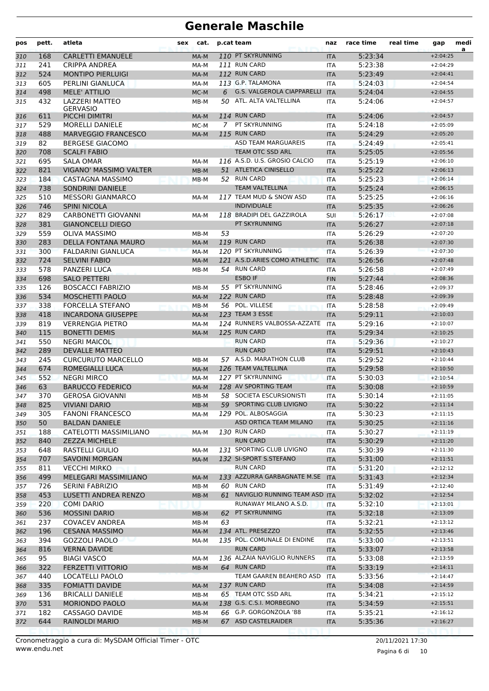| pos        | pett.      | atleta                                       | sex | cat.         |    | p.cat team                      | naz               | race time          | real time | gap                      | medi<br>a |
|------------|------------|----------------------------------------------|-----|--------------|----|---------------------------------|-------------------|--------------------|-----------|--------------------------|-----------|
| 310        | 168        | <b>CARLETTI EMANUELE</b>                     |     | MA-M         |    | 110 PT SKYRUNNING               | <b>ITA</b>        | 5:23:34            |           | $+2:04:25$               |           |
| 311        | 241        | <b>CRIPPA ANDREA</b>                         |     | MA-M         |    | 111 RUN CARD                    | ITA               | 5:23:38            |           | $+2:04:29$               |           |
| 312        | 524        | <b>MONTIPO PIERLUIGI</b>                     |     | MA-M         |    | 112 RUN CARD                    | <b>ITA</b>        | 5:23:49            |           | $+2:04:41$               |           |
| 313        | 605        | PERLINI GIANLUCA                             |     | MA-M         |    | 113 G.P. TALAMONA               | <b>ITA</b>        | 5:24:03            |           | $+2:04:54$               |           |
| 314        | 498        | <b>MELE' ATTILIO</b>                         |     | MC-M         | 6  | G.S. VALGEROLA CIAPPARELLI      | <b>ITA</b>        | 5:24:04            |           | $+2:04:55$               |           |
| 315        | 432        | <b>LAZZERI MATTEO</b><br><b>GERVASIO</b>     |     | MB-M         |    | 50 ATL. ALTA VALTELLINA         | <b>ITA</b>        | 5:24:06            |           | $+2:04:57$               |           |
| 316        | 611        | PICCHI DIMITRI                               |     | MA-M         |    | 114 RUN CARD                    | <b>ITA</b>        | 5:24:06            |           | $+2:04:57$               |           |
| 317        | 529        | <b>MORELLI DANIELE</b>                       |     | MC-M         | 7  | PT SKYRUNNING                   | <b>ITA</b>        | 5:24:18            |           | $+2:05:09$               |           |
| 318        | 488        | <b>MARVEGGIO FRANCESCO</b>                   |     | MA-M         |    | 115 RUN CARD                    | <b>ITA</b>        | 5:24:29            |           | $+2:05:20$               |           |
| 319        | 82         | <b>BERGESE GIACOMO</b>                       |     |              |    | <b>ASD TEAM MARGUAREIS</b>      | <b>ITA</b>        | 5:24:49            |           | $+2:05:41$               |           |
| 320        | 708        | <b>SCALFI FABIO</b>                          |     |              |    | <b>TEAM OTC SSD ARL</b>         | <b>ITA</b>        | 5:25:05            |           | $+2:05:56$               |           |
| 321        | 695        | <b>SALA OMAR</b>                             |     | MA-M         |    | 116 A.S.D. U.S. GROSIO CALCIO   | <b>ITA</b>        | 5:25:19            |           | $+2:06:10$               |           |
| 322        | 821        | <b>VIGANO' MASSIMO VALTER</b>                |     | MB-M         |    | 51 ATLETICA CINISELLO           | <b>ITA</b>        | 5:25:22            |           | $+2:06:13$               |           |
| 323        | 184        | CASTAGNA MASSIMO                             |     | $MB-M$       |    | 52 RUN CARD                     | <b>ITA</b>        | 5:25:23            |           | $+2:06:14$               |           |
| 324        | 738        | <b>SONDRINI DANIELE</b>                      |     |              |    | TEAM VALTELLINA                 | <b>ITA</b>        | 5:25:24            |           | $+2:06:15$               |           |
| 325        | 510        | <b>MESSORI GIANMARCO</b>                     |     | MA-M         |    | 117 TEAM MUD & SNOW ASD         | ITA               | 5:25:25            |           | $+2:06:16$               |           |
| 326        | 746        | <b>SPINI NICOLA</b>                          |     |              |    | <b>INDIVIDUALE</b>              | <b>ITA</b>        | 5:25:35            |           | $+2:06:26$               |           |
| 327        | 829        | <b>CARBONETTI GIOVANNI</b>                   |     | MA-M         |    | 118 BRADIPI DEL GAZZIROLA       | SUI               | 5:26:17            |           | $+2:07:08$               |           |
| 328        | 381        | <b>GIANONCELLI DIEGO</b>                     |     |              |    | PT SKYRUNNING                   | <b>ITA</b>        | 5:26:27            |           | $+2:07:18$               |           |
| 329        | 559        | <b>OLIVA MASSIMO</b>                         |     | MB-M         | 53 |                                 | <b>ITA</b>        | 5:26:29            |           | $+2:07:20$               |           |
| 330        | 283        | <b>DELLA FONTANA MAURO</b>                   |     | MA-M         |    | 119 RUN CARD                    | <b>ITA</b>        | 5:26:38            |           | $+2:07:30$               |           |
| 331        | 300        | <b>FALDARINI GIANLUCA</b>                    |     | MA-M         |    | 120 PT SKYRUNNING               | <b>ITA</b>        | 5:26:39            |           | $+2:07:30$               |           |
| 332        | 724        | <b>SELVINI FABIO</b>                         |     | MA-M         |    | 121 A.S.D.ARIES COMO ATHLETIC   | <b>ITA</b>        | 5:26:56            |           | $+2:07:48$               |           |
| 333        | 578        | PANZERI LUCA                                 |     | MB-M         |    | 54 RUN CARD                     | ITA               | 5:26:58            |           | $+2:07:49$               |           |
| 334        | 698        | <b>SALO PETTERI</b>                          |     |              |    | <b>ESBO IF</b>                  | <b>FIN</b>        | 5:27:44            |           | $+2:08:36$               |           |
| 335        | 126        | <b>BOSCACCI FABRIZIO</b>                     |     | MB-M         |    | 55 PT SKYRUNNING                | <b>ITA</b>        | 5:28:46            |           | $+2:09:37$               |           |
| 336        | 534        | <b>MOSCHETTI PAOLO</b>                       |     | MA-M         |    | 122 RUN CARD                    | <b>ITA</b>        | 5:28:48            |           | $+2:09:39$               |           |
| 337        | 338        | FORCELLA STEFANO                             |     | $MB-M$       |    | 56 POL. VILLESE                 | <b>ITA</b>        | 5:28:58            |           | $+2:09:49$               |           |
| 338        | 418        | <b>INCARDONA GIUSEPPE</b>                    |     | MA-M         |    | 123 TEAM 3 ESSE                 | <b>ITA</b>        | 5:29:11            |           | $+2:10:03$               |           |
| 339        | 819        | <b>VERRENGIA PIETRO</b>                      |     | MA-M         |    | 124 RUNNERS VALBOSSA-AZZATE     | <b>ITA</b>        | 5:29:16            |           | $+2:10:07$               |           |
| 340        | 115        | <b>BONETTI DEMIS</b>                         |     | MA-M         |    | 125 RUN CARD<br><b>RUN CARD</b> | <b>ITA</b>        | 5:29:34            |           | $+2:10:25$               |           |
| 341        | 550<br>289 | <b>NEGRI MAICOL</b><br><b>DEVALLE MATTEO</b> |     |              |    | <b>RUN CARD</b>                 | <b>ITA</b>        | 5:29:36            |           | $+2:10:27$               |           |
| 342        | 245        | <b>CURCURUTO MARCELLO</b>                    |     |              |    | 57 A.S.D. MARATHON CLUB         | <b>ITA</b>        | 5:29:51<br>5:29:52 |           | $+2:10:43$<br>$+2:10:44$ |           |
| 343<br>344 | 674        | ROMEGIALLI LUCA                              |     | MB-M<br>MA-M |    | 126 TEAM VALTELLINA             | ITA<br><b>ITA</b> | 5:29:58            |           | $+2:10:50$               |           |
| 345        | 552        | <b>NEGRI MIRCO</b>                           |     | MA-M         |    | 127 PT SKYRUNNING               | <b>ITA</b>        | 5:30:03            |           | $+2:10:54$               |           |
| 346        | 63         | <b>BARUCCO FEDERICO</b>                      |     | MA-M         |    | 128 AV SPORTING TEAM            | <b>ITA</b>        | 5:30:08            |           | $+2:10:59$               |           |
| 347        | 370        | <b>GEROSA GIOVANNI</b>                       |     | MB-M         |    | 58 SOCIETA ESCURSIONISTI        | <b>ITA</b>        | 5:30:14            |           | $+2:11:05$               |           |
| 348        | 825        | <b>VIVIANI DARIO</b>                         |     | MB-M         |    | 59 SPORTING CLUB LIVIGNO        | ITA.              | 5:30:22            |           | $+2:11:14$               |           |
| 349        | 305        | <b>FANONI FRANCESCO</b>                      |     | MA-M         |    | 129 POL. ALBOSAGGIA             | ITA               | 5:30:23            |           | $+2:11:15$               |           |
| 350        | 50         | <b>BALDAN DANIELE</b>                        |     |              |    | ASD ORTICA TEAM MILANO          | <b>ITA</b>        | 5:30:25            |           | $+2:11:16$               |           |
| 351        | 188        | CATELOTTI MASSIMILIANO                       |     | MA-M         |    | 130 RUN CARD                    | ITA               | 5:30:27            |           | $+2:11:19$               |           |
| 352        | 840        | <b>ZEZZA MICHELE</b>                         |     |              |    | <b>RUN CARD</b>                 | <b>ITA</b>        | 5:30:29            |           | $+2:11:20$               |           |
| 353        | 648        | RASTELLI GIULIO                              |     | MA-M         |    | 131 SPORTING CLUB LIVIGNO       | ITA               | 5:30:39            |           | $+2:11:30$               |           |
| 354        | 707        | <b>SAVOINI MORGAN</b>                        |     | MA-M         |    | 132 SI-SPORT S.STEFANO          | <b>ITA</b>        | 5:31:00            |           | $+2:11:51$               |           |
| 355        | 811        | <b>VECCHI MIRKO</b>                          |     |              |    | <b>RUN CARD</b>                 | ITA               | 5:31:20            |           | $+2:12:12$               |           |
| 356        | 499        | MELEGARI MASSIMILIANO                        |     | MA-M         |    | 133 AZZURRA GARBAGNATE M.SE     | <b>ITA</b>        | 5:31:43            |           | $+2:12:34$               |           |
| 357        | 726        | <b>SERINI FABRIZIO</b>                       |     | MB-M         |    | 60 RUN CARD                     | ITA               | 5:31:49            |           | $+2:12:40$               |           |
| 358        | 453        | LUSETTI ANDREA RENZO                         |     | MB-M         | 61 | NAVIGLIO RUNNING TEAM ASD ITA   |                   | 5:32:02            |           | $+2:12:54$               |           |
| 359        | 220        | <b>COMI DARIO</b>                            |     |              |    | RUNAWAY MILANO A.S.D.           | ITA               | 5:32:10            |           | $+2:13:01$               |           |
| 360        | 536        | <b>MOSSINI DARIO</b>                         |     | MB-M         |    | 62 PT SKYRUNNING                | <b>ITA</b>        | 5:32:18            |           | $+2:13:09$               |           |
| 361        | 237        | <b>COVACEV ANDREA</b>                        |     | MB-M         | 63 |                                 | ITA               | 5:32:21            |           | $+2:13:12$               |           |
| 362        | 196        | <b>CESANA MASSIMO</b>                        |     | MA-M         |    | 134 ATL. PRESEZZO               | <b>ITA</b>        | 5:32:55            |           | $+2:13:46$               |           |
| 363        | 394        | <b>GOZZOLI PAOLO</b>                         |     | MA-M         |    | 135 POL. COMUNALE DI ENDINE     | <b>ITA</b>        | 5:33:00            |           | $+2:13:51$               |           |
| 364        | 816        | <b>VERNA DAVIDE</b>                          |     |              |    | RUN CARD                        | <b>ITA</b>        | 5:33:07            |           | $+2:13:58$               |           |
| 365        | 95         | <b>BIAGI VASCO</b>                           |     | MA-M         |    | 136 ALZAIA NAVIGLIO RUNNERS     | ITA               | 5:33:08            |           | $+2:13:59$               |           |
| 366        | 322        | <b>FERZETTI VITTORIO</b>                     |     | MB-M         |    | 64 RUN CARD                     | <b>ITA</b>        | 5:33:19            |           | $+2:14:11$               |           |
| 367        | 440        | LOCATELLI PAOLO                              |     |              |    | TEAM GAAREN BEAHERO ASD         | <b>ITA</b>        | 5:33:56            |           | $+2:14:47$               |           |
| 368        | 335        | <b>FOMIATTI DAVIDE</b>                       |     | MA-M         |    | 137 RUN CARD                    | <b>ITA</b>        | 5:34:08            |           | $+2:14:59$               |           |
| 369        | 136        | <b>BRICALLI DANIELE</b>                      |     | MB-M         |    | 65 TEAM OTC SSD ARL             | ITA               | 5:34:21            |           | $+2:15:12$               |           |
| 370        | 531        | <b>MORIONDO PAOLO</b>                        |     | MA-M         |    | 138 G.S. C.S.I. MORBEGNO        | <b>ITA</b>        | 5:34:59            |           | $+2:15:51$               |           |
| 371        | 182        | CASSAGO DAVIDE                               |     | MB-M         |    | 66 G.P. GORGONZOLA '88          | ITA               | 5:35:21            |           | $+2:16:12$               |           |
| 372        | 644        | <b>RAINOLDI MARIO</b>                        |     | MB-M         |    | 67 ASD CASTELRAIDER             | <b>ITA</b>        | 5:35:36            |           | $+2:16:27$               |           |
|            |            |                                              |     |              |    |                                 |                   |                    |           |                          |           |

www.endu.net Cronometraggio a cura di: MySDAM Official Timer - OTC 20/11/2021 17:30

Pagina 6 di 10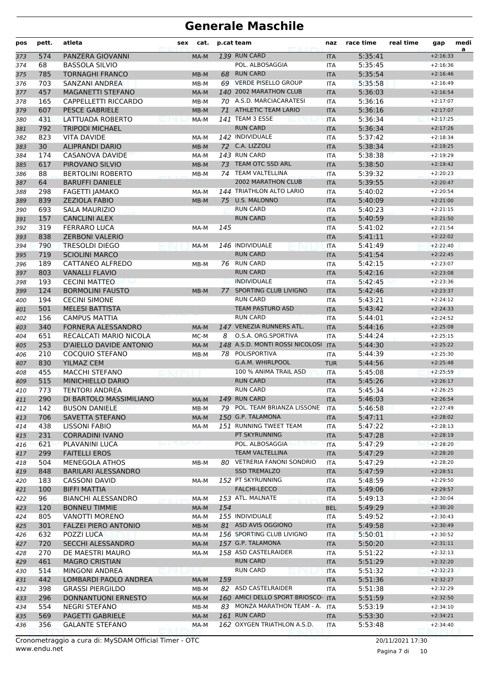| pos | pett. | atleta                      | sex | cat.   |     | p.cat team                          | naz        | race time | real time | gap        | medi<br>a |
|-----|-------|-----------------------------|-----|--------|-----|-------------------------------------|------------|-----------|-----------|------------|-----------|
| 373 | 574   | PANZERA GIOVANNI            |     | MA-M   |     | 139 RUN CARD                        | <b>ITA</b> | 5:35:41   |           | $+2:16:33$ |           |
| 374 | 68    | <b>BASSOLA SILVIO</b>       |     |        |     | POL. ALBOSAGGIA                     | <b>ITA</b> | 5:35:45   |           | $+2:16:36$ |           |
| 375 | 785   | <b>TORNAGHI FRANCO</b>      |     | MB-M   |     | 68 RUN CARD                         | <b>ITA</b> | 5:35:54   |           | $+2:16:46$ |           |
| 376 | 703   | SANZANI ANDREA              |     | MB-M   |     | 69 VERDE PISELLO GROUP              | <b>ITA</b> | 5:35:58   |           | $+2:16:49$ |           |
| 377 | 457   | <b>MAGANETTI STEFANO</b>    |     | MA-M   |     | 140 2002 MARATHON CLUB              | <b>ITA</b> | 5:36:03   |           | $+2:16:54$ |           |
| 378 | 165   | CAPPELLETTI RICCARDO        |     | MB-M   |     | 70 A.S.D. MARCIACARATESI            | <b>ITA</b> | 5:36:16   |           | $+2:17:07$ |           |
| 379 | 607   | <b>PESCE GABRIELE</b>       |     | $MB-M$ | 71  | ATHLETIC TEAM LARIO                 | <b>ITA</b> | 5:36:16   |           | $+2:17:07$ |           |
| 380 | 431   | LATTUADA ROBERTO            |     | MA-M   |     | 141 TEAM 3 ESSE                     | <b>ITA</b> | 5:36:34   |           | $+2:17:25$ |           |
| 381 | 792   | <b>TRIPODI MICHAEL</b>      |     |        |     | <b>RUN CARD</b>                     | <b>ITA</b> | 5:36:34   |           | $+2:17:26$ |           |
| 382 | 823   | <b>VITA DAVIDE</b>          |     | MA-M   |     | 142 INDIVIDUALE                     | <b>ITA</b> | 5:37:42   |           | $+2:18:34$ |           |
| 383 | 30    | <b>ALIPRANDI DARIO</b>      |     | MB-M   |     | 72 C.A. LIZZOLI                     | <b>ITA</b> | 5:38:34   |           | $+2:19:25$ |           |
| 384 | 174   | CASANOVA DAVIDE             |     | MA-M   |     | 143 RUN CARD                        | <b>ITA</b> | 5:38:38   |           | $+2:19:29$ |           |
| 385 | 617   | PIROVANO SILVIO             |     | MB-M   |     | 73 TEAM OTC SSD ARL                 | <b>ITA</b> | 5:38:50   |           | $+2:19:42$ |           |
| 386 | 88    | <b>BERTOLINI ROBERTO</b>    |     | MB-M   |     | 74 TEAM VALTELLINA                  | <b>ITA</b> | 5:39:32   |           | $+2:20:23$ |           |
| 387 | 64    | <b>BARUFFI DANIELE</b>      |     |        |     | <b>2002 MARATHON CLUB</b>           | <b>ITA</b> | 5:39:55   |           | $+2:20:47$ |           |
| 388 | 298   | <b>FAGETTI JAMAKO</b>       |     | MA-M   |     | 144 TRIATHLON ALTO LARIO            | <b>ITA</b> | 5:40:02   |           | $+2:20:54$ |           |
| 389 | 839   | <b>ZEZIOLA FABIO</b>        |     | MB-M   | 75  | <b>U.S. MALONNO</b>                 | <b>ITA</b> | 5:40:09   |           | $+2:21:00$ |           |
| 390 | 693   | SALA MAURIZIO               |     |        |     | <b>RUN CARD</b>                     | <b>ITA</b> | 5:40:23   |           | $+2:21:15$ |           |
| 391 | 157   | <b>CANCLINI ALEX</b>        |     |        |     | <b>RUN CARD</b>                     | <b>ITA</b> | 5:40:59   |           | $+2:21:50$ |           |
| 392 | 319   | <b>FERRARO LUCA</b>         |     | MA-M   | 145 |                                     | <b>ITA</b> | 5:41:02   |           | $+2:21:54$ |           |
| 393 | 838   | <b>ZERBONI VALERIO</b>      |     |        |     |                                     | <b>ITA</b> | 5:41:11   |           | $+2:22:02$ |           |
| 394 | 790   | <b>TRESOLDI DIEGO</b>       |     | MA-M   |     | 146 INDIVIDUALE                     | <b>ITA</b> | 5:41:49   |           | $+2:22:40$ |           |
| 395 | 719   | <b>SCIOLINI MARCO</b>       |     |        |     | <b>RUN CARD</b>                     | <b>ITA</b> | 5:41:54   |           | $+2:22:45$ |           |
| 396 | 189   | CATTANEO ALFREDO            |     | MB-M   |     | 76 RUN CARD                         | <b>ITA</b> | 5:42:15   |           | $+2:23:07$ |           |
| 397 | 803   | <b>VANALLI FLAVIO</b>       |     |        |     | <b>RUN CARD</b>                     | <b>ITA</b> | 5:42:16   |           | $+2:23:08$ |           |
| 398 | 193   | <b>CECINI MATTEO</b>        |     |        |     | <b>INDIVIDUALE</b>                  | <b>ITA</b> | 5:42:45   |           | $+2:23:36$ |           |
| 399 | 124   | <b>BORMOLINI FAUSTO</b>     |     | MB-M   | 77  | SPORTING CLUB LIVIGNO               | <b>ITA</b> | 5:42:46   |           | $+2:23:37$ |           |
| 400 | 194   | <b>CECINI SIMONE</b>        |     |        |     | <b>RUN CARD</b>                     | <b>ITA</b> | 5:43:21   |           | $+2:24:12$ |           |
| 401 | 501   | <b>MELESI BATTISTA</b>      |     |        |     | <b>TEAM PASTURO ASD</b>             | <b>ITA</b> | 5:43:42   |           | $+2:24:33$ |           |
| 402 | 156   | <b>CAMPUS MATTIA</b>        |     |        |     | <b>RUN CARD</b>                     | <b>ITA</b> | 5:44:01   |           | $+2:24:52$ |           |
| 403 | 340   | <b>FORNERA ALESSANDRO</b>   |     | MA-M   |     | 147 VENEZIA RUNNERS ATL.            | <b>ITA</b> | 5:44:16   |           | $+2:25:08$ |           |
| 404 | 651   | RECALCATI MARIO NICOLA      |     | MC-M   | 8   | O.S.A. ORG.SPORTIVA                 | <b>ITA</b> | 5:44:24   |           | $+2:25:15$ |           |
| 405 | 253   | D'AIELLO DAVIDE ANTONIO     |     | MA-M   |     | 148 A.S.D. MONTI ROSSI NICOLOSI ITA |            | 5:44:30   |           | $+2:25:22$ |           |
| 406 | 210   | COCQUIO STEFANO             |     | MB-M   |     | 78 POLISPORTIVA                     | ITA        | 5:44:39   |           | $+2:25:30$ |           |
| 407 | 830   | <b>YILMAZ CEM</b>           |     |        |     | G.A.M. WHIRLPOOL                    | <b>TUR</b> | 5:44:56   |           | $+2:25:48$ |           |
| 408 | 455   | <b>MACCHI STEFANO</b>       |     |        |     | 100 % ANIMA TRAIL ASD               | <b>ITA</b> | 5:45:08   |           | $+2:25:59$ |           |
| 409 | 515   | MINICHIELLO DARIO           |     |        |     | <b>RUN CARD</b>                     | <b>ITA</b> | 5:45:26   |           | $+2:26:17$ |           |
| 410 | 773   | <b>TENTORI ANDREA</b>       |     |        |     | <b>RUN CARD</b>                     | <b>ITA</b> | 5:45:34   |           | $+2:26:25$ |           |
| 411 | 290   | DI BARTOLO MASSIMILIANO     |     | MA-M   |     | 149 RUN CARD                        | <b>ITA</b> | 5:46:03   |           | $+2:26:54$ |           |
| 412 | 142   | <b>BUSON DANIELE</b>        |     | MB-M   |     | 79 POL. TEAM BRIANZA LISSONE        | ITA        | 5:46:58   |           | $+2:27:49$ |           |
| 413 | 706   | SAVETTA STEFANO             |     | MA-M   |     | 150 G.P. TALAMONA                   | ITA        | 5:47:11   |           | $+2:28:02$ |           |
| 414 | 438   | LISSONI FABIO               |     | MA-M   |     | 151 RUNNING TWEET TEAM              | ITA        | 5:47:22   |           | $+2:28:13$ |           |
| 415 | 231   | <b>CORRADINI IVANO</b>      |     |        |     | PT SKYRUNNING                       | <b>ITA</b> | 5:47:28   |           | $+2:28:19$ |           |
| 416 | 621   | PLAVANINI LUCA              |     | ان وا  |     | POL. ALBOSAGGIA                     | <b>ITA</b> | 5:47:29   |           | $+2:28:20$ |           |
| 417 | 299   | <b>FAITELLI EROS</b>        |     |        |     | <b>TEAM VALTELLINA</b>              | <b>ITA</b> | 5:47:29   |           | $+2:28:20$ |           |
| 418 | 504   | MENEGOLA ATHOS              |     | MB-M   |     | 80 VETRERIA FANONI SONDRIO          | ITA        | 5:47:29   |           | $+2:28:20$ |           |
| 419 | 848   | <b>BARILARI ALESSANDRO</b>  |     |        |     | <b>SSD TREMALZO</b>                 | <b>ITA</b> | 5:47:59   |           | $+2:28:51$ |           |
| 420 | 183   | <b>CASSONI DAVID</b>        |     | MA-M   |     | 152 PT SKYRUNNING                   | ITA        | 5:48:59   |           | $+2:29:50$ |           |
| 421 | 100   | <b>BIFFI MATTIA</b>         |     |        |     | FALCHI-LECCO                        | <b>ITA</b> | 5:49:06   |           | $+2:29:57$ |           |
| 422 | 96    | <b>BIANCHI ALESSANDRO</b>   |     | MA-M   |     | 153 ATL. MALNATE                    | <b>ITA</b> | 5:49:13   |           | $+2:30:04$ |           |
| 423 | 120   | <b>BONNEU TIMMIE</b>        |     | MA-M   | 154 |                                     | <b>BEL</b> | 5:49:29   |           | $+2:30:20$ |           |
| 424 | 805   | <b>VANOTTI MORENO</b>       |     | MA-M   |     | 155 INDIVIDUALE                     | ITA        | 5:49:52   |           | $+2:30:43$ |           |
| 425 | 301   | <b>FALZEI PIERO ANTONIO</b> |     | MB-M   |     | 81 ASD AVIS OGGIONO                 | <b>ITA</b> | 5:49:58   |           | $+2:30:49$ |           |
| 426 | 632   | POZZI LUCA                  |     | MA-M   |     | 156 SPORTING CLUB LIVIGNO           | ITA        | 5:50:01   |           | $+2:30:52$ |           |
| 427 | 720   | SECCHI ALESSANDRO           |     | MA-M   |     | 157 G.P. TALAMONA                   | <b>ITA</b> | 5:50:20   |           | $+2:31:11$ |           |
| 428 | 270   | DE MAESTRI MAURO            |     | MA-M   |     | 158 ASD CASTELRAIDER                | ITA        | 5:51:22   |           | $+2:32:13$ |           |
| 429 | 461   | <b>MAGRO CRISTIAN</b>       |     |        |     | <b>RUN CARD</b>                     | <b>ITA</b> | 5:51:29   |           | $+2:32:20$ |           |
| 430 | 514   | <b>MINGONI ANDREA</b>       |     |        |     | <b>RUN CARD</b>                     | <b>ITA</b> | 5:51:32   |           | $+2:32:23$ |           |
| 431 | 442   | LOMBARDI PAOLO ANDREA       |     | MA-M   | 159 |                                     | <b>ITA</b> | 5:51:36   |           | $+2:32:27$ |           |
| 432 | 398   | <b>GRASSI PIERGILDO</b>     |     | MB-M   |     | 82 ASD CASTELRAIDER                 | ITA        | 5:51:38   |           | $+2:32:29$ |           |
| 433 | 296   | DONNANTUONI ERNESTO         |     | MA-M   |     | 160 AMICI DELLO SPORT BRIOSCO- ITA  |            | 5:51:59   |           | $+2:32:50$ |           |
| 434 | 554   | <b>NEGRI STEFANO</b>        |     | MB-M   |     | 83 MONZA MARATHON TEAM - A. ITA     |            | 5:53:19   |           | $+2:34:10$ |           |
| 435 | 569   | PAGETTI GABRIELE            |     | MA-M   |     | 161 RUN CARD                        | <b>ITA</b> | 5:53:30   |           | $+2:34:21$ |           |
| 436 | 356   | <b>GALANTE STEFANO</b>      |     | MA-M   |     | 162 OXYGEN TRIATHLON A.S.D.         | ITA        | 5:53:48   |           | $+2:34:40$ |           |

www.endu.net Cronometraggio a cura di: MySDAM Official Timer - OTC 20/11/2021 17:30

Pagina 7 di 10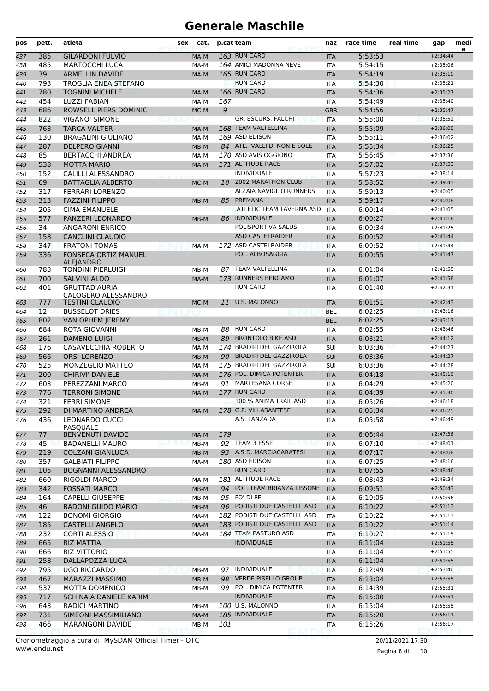| pos | pett.             | atleta                                      | sex | cat.   |     | p.cat team                        | naz        | race time | real time | gap        | medi<br>a |
|-----|-------------------|---------------------------------------------|-----|--------|-----|-----------------------------------|------------|-----------|-----------|------------|-----------|
| 437 | 385               | <b>GILARDONI FULVIO</b>                     |     | MA-M   |     | 163 RUN CARD                      | <b>ITA</b> | 5:53:53   |           | $+2:34:44$ |           |
| 438 | 485               | <b>MARTOCCHI LUCA</b>                       |     | MA-M   |     | 164 AMICI MADONNA NEVE            | <b>ITA</b> | 5:54:15   |           | $+2:35:06$ |           |
| 439 | 39                | <b>ARMELLIN DAVIDE</b>                      |     | MA-M   |     | 165 RUN CARD                      | <b>ITA</b> | 5:54:19   |           | $+2:35:10$ |           |
| 440 | 793               | <b>TROGLIA ENEA STEFANO</b>                 |     |        |     | <b>RUN CARD</b>                   | <b>ITA</b> | 5:54:30   |           | $+2:35:21$ |           |
| 441 | 780               | <b>TOGNINI MICHELE</b>                      |     | MA-M   |     | 166 RUN CARD                      | <b>ITA</b> | 5:54:36   |           | $+2:35:27$ |           |
| 442 | 454               | <b>LUZZI FABIAN</b>                         |     | MA-M   | 167 |                                   | <b>ITA</b> | 5:54:49   |           | $+2:35:40$ |           |
| 443 | 686               | ROWSELL PIERS DOMINIC                       |     | MC-M   | 9   |                                   | <b>GBR</b> | 5:54:56   |           | $+2:35:47$ |           |
| 444 | 822               | <b>VIGANO' SIMONE</b>                       |     |        |     | GR. ESCURS. FALCHI                | <b>ITA</b> | 5:55:00   |           | $+2:35:52$ |           |
| 445 | 763               | <b>TARCA VALTER</b>                         |     | MA-M   |     | 168 TEAM VALTELLINA               | <b>ITA</b> | 5:55:09   |           | $+2:36:00$ |           |
| 446 | 130               | <b>BRAGALINI GIULIANO</b>                   |     | MA-M   |     | 169 ASD EDISON                    | <b>ITA</b> | 5:55:11   |           | $+2:36:02$ |           |
| 447 | 287               | <b>DELPERO GIANNI</b>                       |     | MB-M   |     | 84 ATL. VALLI DI NON E SOLE       | <b>ITA</b> | 5:55:34   |           | $+2:36:25$ |           |
| 448 | 85                | <b>BERTACCHI ANDREA</b>                     |     | MA-M   |     | 170 ASD AVIS OGGIONO              | <b>ITA</b> | 5:56:45   |           | $+2:37:36$ |           |
| 449 | 538               | <b>MOTTA MARIO</b>                          |     | MA-M   |     | 171 ALTITUDE RACE                 | <b>ITA</b> | 5:57:02   |           | $+2:37:53$ |           |
| 450 | 152               | CALILLI ALESSANDRO                          |     |        |     | <b>INDIVIDUALE</b>                | <b>ITA</b> | 5:57:23   |           | $+2:38:14$ |           |
| 451 | 69                | <b>BATTAGLIA ALBERTO</b>                    |     | MC-M   |     | 10 2002 MARATHON CLUB             | <b>ITA</b> | 5:58:52   |           | $+2:39:43$ |           |
| 452 | 317               | <b>FERRARI LORENZO</b>                      |     |        |     | ALZAIA NAVIGLIO RUNNERS           | <b>ITA</b> | 5:59:13   |           | $+2:40:05$ |           |
| 453 | 313               | <b>FAZZINI FILIPPO</b>                      |     | MB-M   | 85  | PREMANA                           | <b>ITA</b> | 5:59:17   |           | $+2:40:08$ |           |
| 454 | 205               | <b>CIMA EMANUELE</b>                        |     |        |     | ATLETIC TEAM TAVERNA ASD          | <b>ITA</b> | 6:00:14   |           | $+2:41:05$ |           |
| 455 | 577               | PANZERI LEONARDO                            |     | MB-M   | 86  | <b>INDIVIDUALE</b>                | <b>ITA</b> | 6:00:27   |           | $+2:41:18$ |           |
| 456 | 34                | <b>ANGARONI ENRICO</b>                      |     |        |     | POLISPORTIVA SALUS                | <b>ITA</b> | 6:00:34   |           | $+2:41:25$ |           |
| 457 | 158               | <b>CANCLINI CLAUDIO</b>                     |     |        |     | <b>ASD CASTELRAIDER</b>           | <b>ITA</b> | 6:00:52   |           | $+2:41:44$ |           |
| 458 | 347               | <b>FRATONI TOMAS</b>                        |     | MA-M   |     | 172 ASD CASTELRAIDER              | <b>ITA</b> | 6:00:52   |           | $+2:41:44$ |           |
| 459 | 336               | <b>FONSECA ORTIZ MANUEL</b>                 |     |        |     | POL. ALBOSAGGIA                   | <b>ITA</b> | 6:00:55   |           | $+2:41:47$ |           |
|     |                   | <b>ALEJANDRO</b>                            |     |        |     |                                   |            |           |           |            |           |
| 460 | 783               | <b>TONDINI PIERLUIGI</b>                    |     | MB-M   | 87  | TEAM VALTELLINA                   | <b>ITA</b> | 6:01:04   |           | $+2:41:55$ |           |
| 461 | 700               | <b>SALVINI ALDO</b>                         |     | MA-M   |     | 173 RUNNERS BERGAMO               | <b>ITA</b> | 6:01:07   |           | $+2:41:58$ |           |
| 462 | 401               | <b>GRUTTAD'AURIA</b><br>CALOGERO ALESSANDRO |     |        |     | <b>RUN CARD</b>                   | <b>ITA</b> | 6:01:40   |           | $+2:42:31$ |           |
| 463 | 777               | <b>TESTINI CLAUDIO</b>                      |     | MC-M   | 11  | <b>U.S. MALONNO</b>               | <b>ITA</b> | 6:01:51   |           | $+2:42:43$ |           |
| 464 | $12 \overline{ }$ | <b>BUSSELOT DRIES</b>                       |     |        |     |                                   | <b>BEL</b> | 6:02:25   |           | $+2:43:16$ |           |
| 465 | 802               | <b>VAN OPHEM JEREMY</b>                     |     |        |     |                                   | <b>BEL</b> | 6:02:25   |           | $+2:43:17$ |           |
| 466 | 684               | ROTA GIOVANNI                               |     | MB-M   | 88  | <b>RUN CARD</b>                   | <b>ITA</b> | 6:02:55   |           | $+2:43:46$ |           |
| 467 | 261               | <b>DAMENO LUIGI</b>                         |     | MB-M   | 89  | <b>BRONTOLO BIKE ASD</b>          | <b>ITA</b> | 6:03:21   |           | $+2:44:12$ |           |
| 468 | 176               | <b>CASAVECCHIA ROBERTO</b>                  |     | MA-M   |     | 174 BRADIPI DEL GAZZIROLA         | SUI        | 6:03:36   |           | $+2:44:27$ |           |
| 469 | 566               | <b>ORSI LORENZO</b>                         |     | MB-M   |     | 90 BRADIPI DEL GAZZIROLA          | <b>SUI</b> | 6:03:36   |           | $+2:44:27$ |           |
| 470 | 525               | MONZEGLIO MATTEO                            |     | MA-M   |     | 175 BRADIPI DEL GAZZIROLA         | SUI        | 6:03:36   |           | $+2:44:28$ |           |
| 471 | 200               | <b>CHIRIVI' DANIELE</b>                     |     | MA-M   |     | 176 POL. DIMICA POTENTER          | <b>ITA</b> | 6:04:18   |           | $+2:45:10$ |           |
| 472 | 603               | PEREZZANI MARCO                             |     | MB-M   |     | 91 MARTESANA CORSE                | <b>ITA</b> | 6:04:29   |           | $+2:45:20$ |           |
| 473 | 776               | <b>TERRONI SIMONE</b>                       |     | MA-M   |     | 177 RUN CARD                      | <b>ITA</b> | 6:04:39   |           | $+2:45:30$ |           |
| 474 | 321               | <b>FFRRI SIMONE</b>                         |     |        |     | 100 % ANIMA TRAIL ASD             | <b>ITA</b> | 6:05:26   |           | $+2:46:18$ |           |
| 475 | 292               | DI MARTINO ANDREA                           |     | MA-M   |     | 178 G.P. VILLASANTESE             | <b>ITA</b> | 6:05:34   |           | $+2:46:25$ |           |
| 476 | 436               | <b>LEONARDO CUCCI</b>                       |     |        |     | A.S. LANZADA                      | ITA        | 6:05:58   |           | $+2:46:49$ |           |
|     | 77                | PASQUALE                                    |     |        | 179 |                                   |            | 6:06:44   |           | $+2:47:36$ |           |
| 477 |                   | BENVENUTI DAVIDE                            |     | MA-M   |     |                                   | <b>ITA</b> |           |           |            |           |
| 478 | 45                | <b>BADANELLI MAURO</b>                      |     | $MB-M$ |     | 92 TEAM 3 ESSE                    | <b>ITA</b> | 6:07:10   |           | $+2:48:01$ |           |
| 479 | 219               | <b>COLZANI GIANLUCA</b>                     |     | MB-M   |     | 93 A.S.D. MARCIACARATESI          | <b>ITA</b> | 6:07:17   |           | $+2:48:08$ |           |
| 480 | 357               | <b>GALBIATI FILIPPO</b>                     |     | MA-M   |     | 180 ASD EDISON<br><b>RUN CARD</b> | ITA        | 6:07:25   |           | $+2:48:16$ |           |
| 481 | 105               | <b>BOGNANNI ALESSANDRO</b>                  |     |        |     | 181 ALTITUDE RACE                 | <b>ITA</b> | 6:07:55   |           | $+2:48:46$ |           |
| 482 | 660               | RIGOLDI MARCO                               |     | MA-M   |     |                                   | ITA        | 6:08:43   |           | $+2:49:34$ |           |
| 483 | 342               | <b>FOSSATI MARCO</b>                        |     | MB-M   |     | 94 POL. TEAM BRIANZA LISSONE      | <b>ITA</b> | 6:09:51   |           | $+2:50:43$ |           |
| 484 | 164               | <b>CAPELLI GIUSEPPE</b>                     |     | MB-M   |     | 95 FO' DI PE                      | ITA        | 6:10:05   |           | $+2:50:56$ |           |
| 485 | 46                | <b>BADONI GUIDO MARIO</b>                   |     | MB-M   |     | 96 PODISTI DUE CASTELLI ASD       | <b>ITA</b> | 6:10:22   |           | $+2:51:13$ |           |
| 486 | 122               | <b>BONOMI GIORGIO</b>                       |     | MA-M   |     | 182 PODISTI DUE CASTELLI ASD      | ITA        | 6:10:22   |           | $+2:51:13$ |           |
| 487 | 185               | <b>CASTELLI ANGELO</b>                      |     | MA-M   |     | 183 PODISTI DUE CASTELLI ASD      | <b>ITA</b> | 6:10:22   |           | $+2:51:14$ |           |
| 488 | 232               | <b>CORTI ALESSIO</b>                        |     | MA-M   |     | 184 TEAM PASTURO ASD              | ITA        | 6:10:27   |           | $+2:51:19$ |           |
| 489 | 665               | <b>RIZ MATTIA</b>                           |     |        |     | <b>INDIVIDUALE</b>                | <b>ITA</b> | 6:11:04   |           | $+2:51:55$ |           |
| 490 | 666               | RIZ VITTORIO                                |     |        |     |                                   | ITA        | 6:11:04   |           | $+2:51:55$ |           |
| 491 | 258               | DALLAPOZZA LUCA                             |     |        |     |                                   | <b>ITA</b> | 6:11:04   |           | $+2:51:55$ |           |
| 492 | 795               | <b>UGO RICCARDO</b>                         |     | MB-M   |     | 97 INDIVIDUALE                    | <b>ITA</b> | 6:12:49   |           | $+2:53:40$ |           |
| 493 | 467               | <b>MARAZZI MASSIMO</b>                      |     | $MB-M$ |     | 98 VERDE PISELLO GROUP            | <b>ITA</b> | 6:13:04   |           | $+2:53:55$ |           |
| 494 | 537               | MOTTA DOMENICO                              |     | MB-M   |     | 99 POL. DIMICA POTENTER           | ITA        | 6:14:39   |           | $+2:55:31$ |           |
| 495 | 717               | SCHINAIA DANIELE KARIM                      |     |        |     | <b>INDIVIDUALE</b>                | <b>ITA</b> | 6:15:00   |           | $+2:55:51$ |           |
| 496 | 643               | RADICI MARTINO                              |     | MB-M   |     | 100 U.S. MALONNO                  | ITA        | 6:15:04   |           | $+2:55:55$ |           |
| 497 | 731               | SIMEONI MASSIMILIANO                        |     | MA-M   |     | 185 INDIVIDUALE                   | <b>ITA</b> | 6:15:20   |           | $+2:56:11$ |           |
| 498 | 466               | MARANGONI DAVIDE                            |     | MB-M   | 101 |                                   | ITA        | 6:15:26   |           | $+2:56:17$ |           |

www.endu.net Cronometraggio a cura di: MySDAM Official Timer - OTC 20/11/2021 17:30

Pagina 8 di 10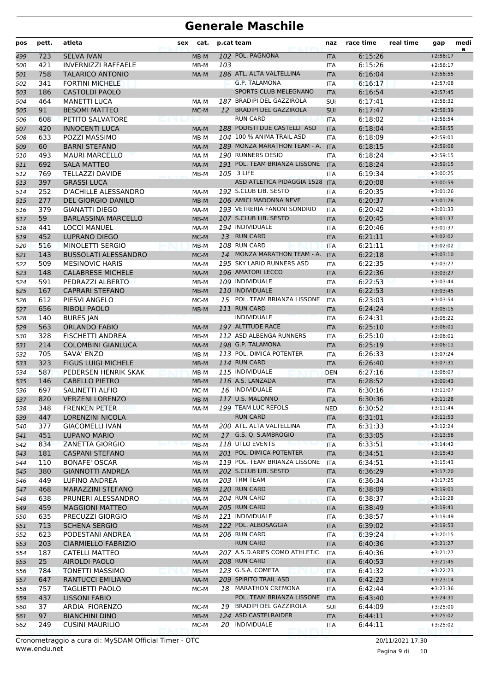| pos        | pett.      | atleta                                               | sex | cat.         |     | p.cat team                                            | naz                      | race time          | real time | gap                      | medi<br>a |
|------------|------------|------------------------------------------------------|-----|--------------|-----|-------------------------------------------------------|--------------------------|--------------------|-----------|--------------------------|-----------|
| 499        | 723        | <b>SELVA IVAN</b>                                    |     | MB-M         |     | 102 POL. PAGNONA                                      | <b>ITA</b>               | 6:15:26            |           | $+2:56:17$               |           |
| 500        | 421        | <b>INVERNIZZI RAFFAELE</b>                           |     | MB-M         | 103 |                                                       | ITA                      | 6:15:26            |           | $+2:56:17$               |           |
| 501        | 758        | <b>TALARICO ANTONIO</b>                              |     | MA-M         |     | 186 ATL. ALTA VALTELLINA                              | <b>ITA</b>               | 6:16:04            |           | $+2:56:55$               |           |
| 502        | 341        | <b>FORTINI MICHELE</b>                               |     |              |     | <b>G.P. TALAMONA</b>                                  | <b>ITA</b>               | 6:16:17            |           | $+2:57:08$               |           |
| 503        | 186        | <b>CASTOLDI PAOLO</b>                                |     |              |     | SPORTS CLUB MELEGNANO                                 | <b>ITA</b>               | 6:16:54            |           | $+2:57:45$               |           |
| 504        | 464        | <b>MANETTI LUCA</b>                                  |     | MA-M         |     | 187 BRADIPI DEL GAZZIROLA<br>12 BRADIPI DEL GAZZIROLA | SUI                      | 6:17:41            |           | $+2:58:32$               |           |
| 505        | 91         | <b>BESOMI MATTEO</b>                                 |     | MC-M         |     | <b>RUN CARD</b>                                       | <b>SUI</b>               | 6:17:47            |           | $+2:58:39$               |           |
| 506        | 608<br>420 | PETITO SALVATORE<br><b>INNOCENTI LUCA</b>            |     |              |     | 188 PODISTI DUE CASTELLI ASD                          | <b>ITA</b><br><b>ITA</b> | 6:18:02<br>6:18:04 |           | $+2:58:54$<br>$+2:58:55$ |           |
| 507<br>508 | 633        | POZZI MASSIMO                                        |     | MA-M<br>MB-M |     | 104 100 % ANIMA TRAIL ASD                             | <b>ITA</b>               | 6:18:09            |           | $+2:59:01$               |           |
| 509        | 60         | <b>BARNI STEFANO</b>                                 |     | MA-M         |     | 189 MONZA MARATHON TEAM - A.                          | <b>ITA</b>               | 6:18:15            |           | $+2:59:06$               |           |
| 510        | 493        | <b>MAURI MARCELLO</b>                                |     | MA-M         |     | 190 RUNNERS DESIO                                     | <b>ITA</b>               | 6:18:24            |           | $+2:59:15$               |           |
| 511        | 692        | <b>SALA MATTEO</b>                                   |     | MA-M         |     | 191 POL. TEAM BRIANZA LISSONE                         | <b>ITA</b>               | 6:18:24            |           | $+2:59:15$               |           |
| 512        | 769        | <b>TELLAZZI DAVIDE</b>                               |     | MB-M         |     | 105 3 LIFE                                            | ITA                      | 6:19:34            |           | $+3:00:25$               |           |
| 513        | 397        | <b>GRASSI LUCA</b>                                   |     |              |     | ASD ATLETICA PIDAGGIA 1528                            | <b>ITA</b>               | 6:20:08            |           | $+3:00:59$               |           |
| 514        | 252        | <b>D'ACHILLE ALESSANDRO</b>                          |     | MA-M         |     | 192 S.CLUB LIB. SESTO                                 | <b>ITA</b>               | 6:20:35            |           | $+3:01:26$               |           |
| 515        | 277        | <b>DEL GIORGIO DANILO</b>                            |     | $MB-M$       |     | 106 AMICI MADONNA NEVE                                | <b>ITA</b>               | 6:20:37            |           | $+3:01:28$               |           |
| 516        | 379        | GIANATTI DIEGO                                       |     | MA-M         |     | 193 VETRERIA FANONI SONDRIO                           | <b>ITA</b>               | 6:20:42            |           | $+3:01:33$               |           |
| 517        | 59         | <b>BARLASSINA MARCELLO</b>                           |     | MB-M         |     | 107 S.CLUB LIB. SESTO                                 | <b>ITA</b>               | 6:20:45            |           | $+3:01:37$               |           |
| 518        | 441        | <b>LOCCI MANUEL</b>                                  |     | MA-M         |     | 194 INDIVIDUALE                                       | <b>ITA</b>               | 6:20:46            |           | $+3:01:37$               |           |
| 519        | 452        | <b>LUPRANO DIEGO</b>                                 |     | MC-M         |     | 13 RUN CARD                                           | <b>ITA</b>               | 6:21:11            |           | $+3:02:02$               |           |
| 520        | 516        | MINOLETTI SERGIO                                     |     | MB-M         |     | 108 RUN CARD                                          | <b>ITA</b>               | 6:21:11            |           | $+3:02:02$               |           |
| 521        | 143        | <b>BUSSOLATI ALESSANDRO</b>                          |     | MC-M         |     | 14 MONZA MARATHON TEAM - A.                           | <b>ITA</b>               | 6:22:18            |           | $+3:03:10$               |           |
| 522        | 509        | <b>MESINOVIC HARIS</b>                               |     | MA-M         |     | 195 SKY LARIO RUNNERS ASD                             | <b>ITA</b>               | 6:22:35            |           | $+3:03:27$               |           |
| 523        | 148        | <b>CALABRESE MICHELE</b>                             |     | MA-M         |     | 196 AMATORI LECCO                                     | <b>ITA</b>               | 6:22:36            |           | $+3:03:27$               |           |
| 524        | 591        | PEDRAZZI ALBERTO                                     |     | MB-M         |     | 109 INDIVIDUALE                                       | <b>ITA</b>               | 6:22:53            |           | $+3:03:44$               |           |
| 525        | 167        | <b>CAPRARI STEFANO</b>                               |     | MB-M         |     | 110 INDIVIDUALE                                       | <b>ITA</b>               | 6:22:53            |           | $+3:03:45$               |           |
| 526        | 612        | PIESVI ANGELO                                        |     | MC-M         |     | 15 POL. TEAM BRIANZA LISSONE                          | <b>ITA</b>               | 6:23:03            |           | $+3:03:54$               |           |
| 527        | 656        | <b>RIBOLI PAOLO</b>                                  |     | MB-M         |     | 111 RUN CARD                                          | <b>ITA</b>               | 6:24:24            |           | $+3:05:15$               |           |
| 528        | 140        | <b>BURES JAN</b>                                     |     |              |     | <b>INDIVIDUALE</b>                                    | <b>ITA</b>               | 6:24:31            |           | $+3:05:22$               |           |
| 529        | 563<br>328 | <b>ORLANDO FABIO</b>                                 |     | MA-M         |     | 197 ALTITUDE RACE<br>112 ASD ALBENGA RUNNERS          | <b>ITA</b>               | 6:25:10<br>6:25:10 |           | $+3:06:01$               |           |
| 530        | 214        | <b>FISCHETTI ANDREA</b><br><b>COLOMBINI GIANLUCA</b> |     | MB-M<br>MA-M |     | 198 G.P. TALAMONA                                     | <b>ITA</b>               | 6:25:19            |           | $+3:06:01$<br>$+3:06:11$ |           |
| 531<br>532 | 705        | SAVA' ENZO                                           |     | MB-M         |     | 113 POL. DIMICA POTENTER                              | <b>ITA</b><br><b>ITA</b> | 6:26:33            |           | $+3:07:24$               |           |
| 533        | 323        | <b>FIGUS LUIGI MICHELE</b>                           |     | $MB-M$       |     | 114 RUN CARD                                          | <b>ITA</b>               | 6:26:40            |           | $+3:07:31$               |           |
| 534        | 587        | PEDERSEN HENRIK SKAK                                 |     | MB-M         |     | 115 INDIVIDUALE                                       | <b>DEN</b>               | 6:27:16            |           | $+3:08:07$               |           |
| 535        | 146        | <b>CABELLO PIETRO</b>                                |     | MB-M         |     | 116 A.S. LANZADA                                      | <b>ITA</b>               | 6:28:52            |           | $+3:09:43$               |           |
| 536        | 697        | SALINETTI ALFIO                                      |     | MC-M         |     | 16 INDIVIDUALE                                        | <b>ITA</b>               | 6:30:16            |           | $+3:11:07$               |           |
| 537        | 820        | <b>VERZENI LORENZO</b>                               |     | MB-M         |     | 117 U.S. MALONNO                                      | <b>ITA</b>               | 6:30:36            |           | $+3:11:28$               |           |
| 538        | 348        | <b>FRENKEN PETER</b>                                 |     | MA-M         |     | 199 TEAM LUC REFOLS                                   | <b>NED</b>               | 6:30:52            |           | $+3:11:44$               |           |
| 539        | 447        | LORENZINI NICOLA                                     |     |              |     | <b>RUN CARD</b>                                       | <b>ITA</b>               | 6:31:01            |           | $+3:11:53$               |           |
| 540        | 377        | <b>GIACOMELLI IVAN</b>                               |     | MA-M         |     | 200 ATL. ALTA VALTELLINA                              | ITA                      | 6:31:33            |           | $+3:12:24$               |           |
| 541        | 451        | <b>LUPANO MARIO</b>                                  |     | MC-M         |     | 17 G.S. Q. S.AMBROGIO                                 | <b>ITA</b>               | 6:33:05            |           | $+3:13:56$               |           |
| 542        | 834        | ZANETTA GIORGIO                                      |     | $MB-M$       |     | 118 UTLO EVENTS                                       | <b>ITA</b>               | 6:33:51            |           | $+3:14:42$               |           |
| 543        | 181        | <b>CASPANI STEFANO</b>                               |     | MA-M         |     | 201 POL. DIMICA POTENTER                              | <b>ITA</b>               | 6:34:51            |           | $+3:15:43$               |           |
| 544        | 110        | <b>BONAFE' OSCAR</b>                                 |     | MB-M         |     | 119 POL. TEAM BRIANZA LISSONE                         | ITA                      | 6:34:51            |           | $+3:15:43$               |           |
| 545        | 380        | <b>GIANNOTTI ANDREA</b>                              |     | MA-M         |     | 202 S.CLUB LIB. SESTO                                 | <b>ITA</b>               | 6:36:29            |           | $+3:17:20$               |           |
| 546        | 449        | LUFINO ANDREA                                        |     | MA-M         |     | 203 TRM TEAM                                          | ITA                      | 6:36:34            |           | $+3:17:25$               |           |
| 547        | 468        | <b>MARAZZINI STEFANO</b>                             |     | MB-M         |     | 120 RUN CARD                                          | <b>ITA</b>               | 6:38:09            |           | $+3:19:01$               |           |
| 548        | 638        | PRUNERI ALESSANDRO                                   |     | MA-M         |     | 204 RUN CARD                                          | ITA                      | 6:38:37            |           | $+3:19:28$               |           |
| 549        | 459        | <b>MAGGIONI MATTEO</b>                               |     | MA-M         |     | 205 RUN CARD                                          | <b>ITA</b>               | 6:38:49            |           | $+3:19:41$               |           |
| 550        | 635        | PRECUZZI GIORGIO                                     |     | MB-M         |     | 121 INDIVIDUALE<br>122 POL. ALBOSAGGIA                | ITA                      | 6:38:57            |           | $+3:19:49$               |           |
| 551        | 713        | <b>SCHENA SERGIO</b>                                 |     | $MB-M$       |     |                                                       | <b>ITA</b>               | 6:39:02            |           | $+3:19:53$               |           |
| 552<br>553 | 623<br>203 | PODESTANI ANDREA<br><b>CIARMIELLO FABRIZIO</b>       |     | MA-M         |     | 206 RUN CARD<br><b>RUN CARD</b>                       | ITA<br><b>ITA</b>        | 6:39:24<br>6:40:36 |           | $+3:20:15$<br>$+3:21:27$ |           |
| 554        | 187        | CATELLI MATTEO                                       |     | MA-M         |     | 207 A.S.D.ARIES COMO ATHLETIC                         | ITA                      | 6:40:36            |           | $+3:21:27$               |           |
| 555        | 25         | <b>AIROLDI PAOLO</b>                                 |     | MA-M         |     | 208 RUN CARD                                          | <b>ITA</b>               | 6:40:53            |           | $+3:21:45$               |           |
| 556        | 784        | <b>TONETTI MASSIMO</b>                               |     | $MB-M$       |     | 123 G.S.A. COMETA                                     | ITA                      | 6:41:32            |           | $+3:22:23$               |           |
| 557        | 647        | RANTUCCI EMILIANO                                    |     | MA-M         |     | 209 SPIRITO TRAIL ASD                                 | <b>ITA</b>               | 6:42:23            |           | $+3:23:14$               |           |
| 558        | 757        | <b>TAGLIETTI PAOLO</b>                               |     | MC-M         |     | 18 MARATHON CREMONA                                   | ITA                      | 6:42:44            |           | $+3:23:36$               |           |
| 559        | 437        | <b>LISSONI FABIO</b>                                 |     |              |     | POL. TEAM BRIANZA LISSONE                             | <b>ITA</b>               | 6:43:40            |           | $+3:24:31$               |           |
| 560        | 37         | ARDIA FIORENZO                                       |     | MC-M         |     | 19 BRADIPI DEL GAZZIROLA                              | SUI                      | 6:44:09            |           | $+3:25:00$               |           |
| 561        | 97         | <b>BIANCHINI DINO</b>                                |     | $MB-M$       |     | 124 ASD CASTELRAIDER                                  | <b>ITA</b>               | 6:44:11            |           | $+3:25:02$               |           |
| 562        | 249        | <b>CUSINI MAURILIO</b>                               |     | MC-M         |     | 20 INDIVIDUALE                                        | ITA                      | 6:44:11            |           | $+3:25:02$               |           |
|            |            |                                                      |     |              |     |                                                       |                          |                    |           |                          |           |

Pagina 9 di 10